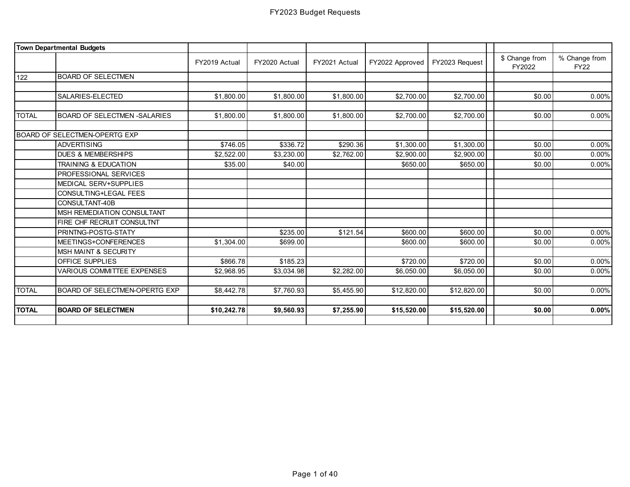|              | <b>Town Departmental Budgets</b>  |               |               |               |                 |                |                          |                              |
|--------------|-----------------------------------|---------------|---------------|---------------|-----------------|----------------|--------------------------|------------------------------|
|              |                                   | FY2019 Actual | FY2020 Actual | FY2021 Actual | FY2022 Approved | FY2023 Request | \$ Change from<br>FY2022 | % Change from<br><b>FY22</b> |
| 122          | <b>BOARD OF SELECTMEN</b>         |               |               |               |                 |                |                          |                              |
|              |                                   |               |               |               |                 |                |                          |                              |
|              | SALARIES-ELECTED                  | \$1,800.00    | \$1,800.00    | \$1,800.00    | \$2,700.00      | \$2,700.00     | \$0.00                   | 0.00%                        |
|              |                                   |               |               |               |                 |                |                          |                              |
| <b>TOTAL</b> | BOARD OF SELECTMEN -SALARIES      | \$1,800.00    | \$1,800.00    | \$1,800.00    | \$2,700.00      | \$2,700.00     | \$0.00                   | 0.00%                        |
|              |                                   |               |               |               |                 |                |                          |                              |
|              | BOARD OF SELECTMEN-OPERTG EXP     |               |               |               |                 |                |                          |                              |
|              | <b>ADVERTISING</b>                | \$746.05      | \$336.72      | \$290.36      | \$1,300.00      | \$1,300.00     | \$0.00                   | 0.00%                        |
|              | <b>DUES &amp; MEMBERSHIPS</b>     | \$2,522.00    | \$3,230.00    | \$2,762.00    | \$2,900.00      | \$2,900.00     | \$0.00                   | 0.00%                        |
|              | <b>TRAINING &amp; EDUCATION</b>   | \$35.00       | \$40.00       |               | \$650.00        | \$650.00       | \$0.00                   | 0.00%                        |
|              | PROFESSIONAL SERVICES             |               |               |               |                 |                |                          |                              |
|              | MEDICAL SERV+SUPPLIES             |               |               |               |                 |                |                          |                              |
|              | CONSULTING+LEGAL FEES             |               |               |               |                 |                |                          |                              |
|              | CONSULTANT-40B                    |               |               |               |                 |                |                          |                              |
|              | MSH REMEDIATION CONSULTANT        |               |               |               |                 |                |                          |                              |
|              | FIRE CHF RECRUIT CONSULTNT        |               |               |               |                 |                |                          |                              |
|              | PRINTNG-POSTG-STATY               |               | \$235.00      | \$121.54      | \$600.00        | \$600.00       | \$0.00                   | 0.00%                        |
|              | MEETINGS+CONFERENCES              | \$1,304.00    | \$699.00      |               | \$600.00        | \$600.00       | \$0.00                   | $0.00\%$                     |
|              | <b>MSH MAINT &amp; SECURITY</b>   |               |               |               |                 |                |                          |                              |
|              | OFFICE SUPPLIES                   | \$866.78      | \$185.23      |               | \$720.00        | \$720.00       | \$0.00                   | 0.00%                        |
|              | <b>VARIOUS COMMITTEE EXPENSES</b> | \$2,968.95    | \$3,034.98    | \$2,282.00    | \$6,050.00      | \$6,050.00     | \$0.00                   | 0.00%                        |
|              |                                   |               |               |               |                 |                |                          |                              |
| <b>TOTAL</b> | BOARD OF SELECTMEN-OPERTG EXP     | \$8,442.78    | \$7,760.93    | \$5,455.90    | \$12,820.00     | \$12,820.00    | \$0.00                   | 0.00%                        |
|              |                                   |               |               |               |                 |                |                          |                              |
| <b>TOTAL</b> | <b>BOARD OF SELECTMEN</b>         | \$10,242.78   | \$9,560.93    | \$7,255.90    | \$15,520.00     | \$15,520.00    | \$0.00                   | 0.00%                        |
|              |                                   |               |               |               |                 |                |                          |                              |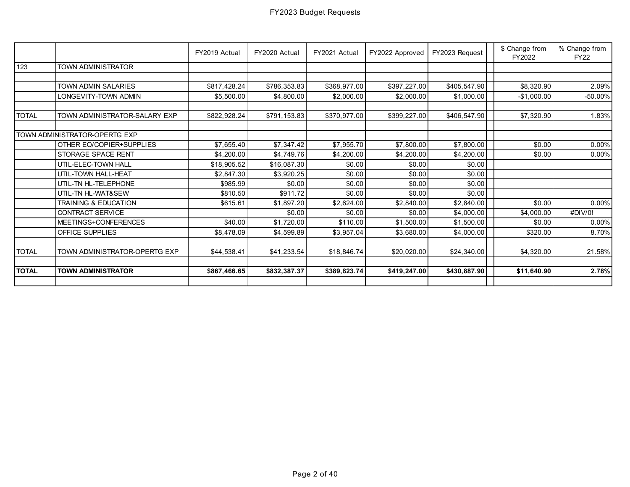|              |                                 | FY2019 Actual | FY2020 Actual | FY2021 Actual | FY2022 Approved | FY2023 Request | \$ Change from<br>FY2022 | % Change from<br><b>FY22</b> |
|--------------|---------------------------------|---------------|---------------|---------------|-----------------|----------------|--------------------------|------------------------------|
| 123          | TOWN ADMINISTRATOR              |               |               |               |                 |                |                          |                              |
|              |                                 |               |               |               |                 |                |                          |                              |
|              | TOWN ADMIN SALARIES             | \$817,428.24  | \$786,353.83  | \$368,977.00  | \$397,227.00    | \$405,547.90   | \$8,320.90               | 2.09%                        |
|              | LONGEVITY-TOWN ADMIN            | \$5,500.00    | \$4,800.00    | \$2,000.00    | \$2,000.00      | \$1,000.00     | $-$1,000.00$             | $-50.00\%$                   |
|              |                                 |               |               |               |                 |                |                          |                              |
| <b>TOTAL</b> | TOWN ADMINISTRATOR-SALARY EXP   | \$822,928.24  | \$791,153.83  | \$370,977.00  | \$399,227.00    | \$406,547.90   | \$7,320.90               | 1.83%                        |
|              |                                 |               |               |               |                 |                |                          |                              |
|              | TOWN ADMINISTRATOR-OPERTG EXP   |               |               |               |                 |                |                          |                              |
|              | OTHER EQ/COPIER+SUPPLIES        | \$7,655.40    | \$7,347.42    | \$7,955.70    | \$7,800.00      | \$7,800.00     | \$0.00                   | 0.00%                        |
|              | STORAGE SPACE RENT              | \$4,200.00    | \$4,749.76    | \$4,200.00    | \$4,200.00      | \$4,200.00     | \$0.00                   | $0.00\%$                     |
|              | UTIL-ELEC-TOWN HALL             | \$18,905.52   | \$16,087.30   | \$0.00        | \$0.00          | \$0.00         |                          |                              |
|              | UTIL-TOWN HALL-HEAT             | \$2,847.30    | \$3,920.25    | \$0.00        | \$0.00          | \$0.00         |                          |                              |
|              | UTIL-TN HL-TELEPHONE            | \$985.99      | \$0.00        | \$0.00        | \$0.00          | \$0.00         |                          |                              |
|              | UTIL-TN HL-WAT&SEW              | \$810.50      | \$911.72      | \$0.00        | \$0.00          | \$0.00         |                          |                              |
|              | <b>TRAINING &amp; EDUCATION</b> | \$615.61      | \$1,897.20    | \$2,624.00    | \$2,840.00      | \$2,840.00     | \$0.00                   | 0.00%                        |
|              | CONTRACT SERVICE                |               | \$0.00        | \$0.00        | \$0.00          | \$4,000.00     | \$4,000.00               | #DIV/0!                      |
|              | MEETINGS+CONFERENCES            | \$40.00       | \$1,720.00    | \$110.00      | \$1,500.00      | \$1,500.00     | \$0.00                   | 0.00%                        |
|              | <b>OFFICE SUPPLIES</b>          | \$8,478.09    | \$4,599.89    | \$3,957.04    | \$3,680.00      | \$4,000.00     | \$320.00                 | 8.70%                        |
|              |                                 |               |               |               |                 |                |                          |                              |
| <b>TOTAL</b> | TOWN ADMINISTRATOR-OPERTG EXP   | \$44.538.41   | \$41,233.54   | \$18,846.74   | \$20,020.00     | \$24,340.00    | \$4,320.00               | 21.58%                       |
|              |                                 |               |               |               |                 |                |                          |                              |
| <b>TOTAL</b> | <b>TOWN ADMINISTRATOR</b>       | \$867,466.65  | \$832,387.37  | \$389,823.74  | \$419,247.00    | \$430,887.90   | \$11,640.90              | 2.78%                        |
|              |                                 |               |               |               |                 |                |                          |                              |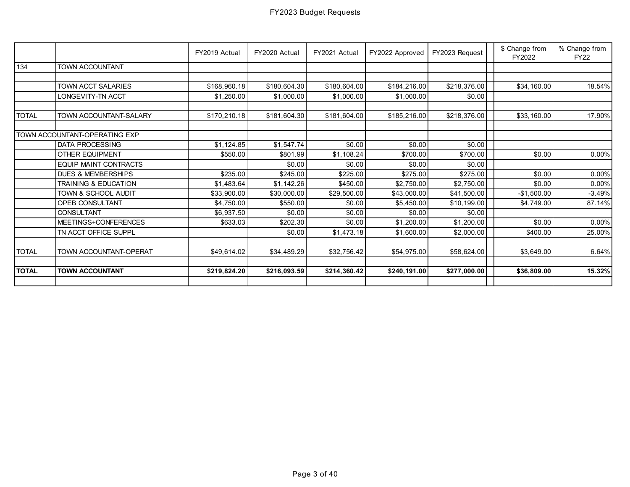|              |                                      | FY2019 Actual | FY2020 Actual | FY2021 Actual | FY2022 Approved | FY2023 Request | \$ Change from<br>FY2022 | % Change from<br><b>FY22</b> |
|--------------|--------------------------------------|---------------|---------------|---------------|-----------------|----------------|--------------------------|------------------------------|
| 134          | <b>TOWN ACCOUNTANT</b>               |               |               |               |                 |                |                          |                              |
|              |                                      |               |               |               |                 |                |                          |                              |
|              | TOWN ACCT SALARIES                   | \$168,960.18  | \$180,604.30  | \$180,604.00  | \$184,216.00    | \$218,376.00   | \$34,160.00              | 18.54%                       |
|              | <b>LONGEVITY-TN ACCT</b>             | \$1,250.00    | \$1,000.00    | \$1,000.00    | \$1,000.00      | \$0.00         |                          |                              |
| <b>TOTAL</b> | TOWN ACCOUNTANT-SALARY               | \$170,210.18  | \$181,604.30  | \$181,604.00  | \$185,216.00    | \$218,376.00   | \$33,160.00              | 17.90%                       |
|              | <b>TOWN ACCOUNTANT-OPERATING EXP</b> |               |               |               |                 |                |                          |                              |
|              | DATA PROCESSING                      | \$1,124.85    | \$1,547.74    | \$0.00        | \$0.00          | \$0.00         |                          |                              |
|              | OTHER EQUIPMENT                      | \$550.00      | \$801.99      | \$1,108.24    | \$700.00        | \$700.00       | \$0.00                   | $0.00\%$                     |
|              | <b>EQUIP MAINT CONTRACTS</b>         |               | \$0.00        | \$0.00        | \$0.00          | \$0.00         |                          |                              |
|              | <b>DUES &amp; MEMBERSHIPS</b>        | \$235.00      | \$245.00      | \$225.00      | \$275.00        | \$275.00       | \$0.00                   | 0.00%                        |
|              | TRAINING & EDUCATION                 | \$1,483.64    | \$1,142.26    | \$450.00      | \$2,750.00      | \$2,750.00     | \$0.00                   | 0.00%                        |
|              | TOWN & SCHOOL AUDIT                  | \$33,900.00   | \$30,000.00   | \$29,500.00   | \$43,000.00     | \$41,500.00    | $-$1,500.00$             | $-3.49%$                     |
|              | <b>OPEB CONSULTANT</b>               | \$4,750.00    | \$550.00      | \$0.00        | \$5,450.00      | \$10,199.00    | \$4,749.00               | 87.14%                       |
|              | <b>CONSULTANT</b>                    | \$6,937.50    | \$0.00        | \$0.00        | \$0.00          | \$0.00         |                          |                              |
|              | MEETINGS+CONFERENCES                 | \$633.03      | \$202.30      | \$0.00        | \$1,200.00      | \$1,200.00     | \$0.00                   | 0.00%                        |
|              | TN ACCT OFFICE SUPPL                 |               | \$0.00        | \$1,473.18    | \$1,600.00      | \$2,000.00     | \$400.00                 | 25.00%                       |
|              |                                      |               |               |               |                 |                |                          |                              |
| <b>TOTAL</b> | TOWN ACCOUNTANT-OPERAT               | \$49,614.02   | \$34,489.29   | \$32,756.42   | \$54,975.00     | \$58,624.00    | \$3.649.00               | 6.64%                        |
| <b>TOTAL</b> | <b>TOWN ACCOUNTANT</b>               | \$219,824.20  | \$216,093.59  | \$214,360.42  | \$240,191.00    | \$277,000.00   | \$36,809.00              | 15.32%                       |
|              |                                      |               |               |               |                 |                |                          |                              |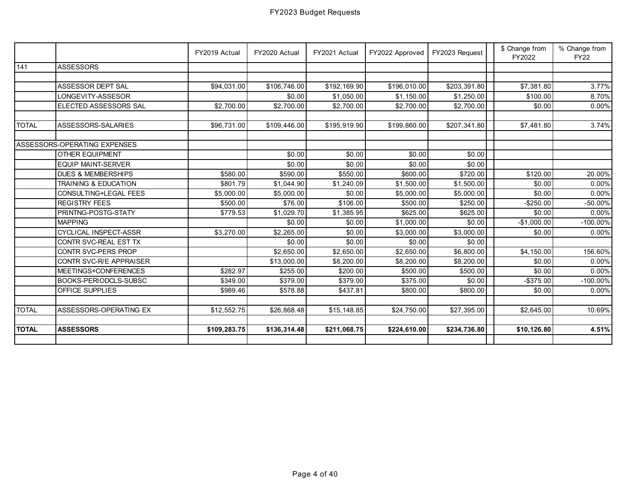|              |                                 | FY2019 Actual | FY2020 Actual          | FY2021 Actual | FY2022 Approved | FY2023 Request | \$ Change from<br>FY2022 | % Change from<br><b>FY22</b> |
|--------------|---------------------------------|---------------|------------------------|---------------|-----------------|----------------|--------------------------|------------------------------|
| $141$        | <b>ASSESSORS</b>                |               |                        |               |                 |                |                          |                              |
|              |                                 |               |                        |               |                 |                |                          |                              |
|              | ASSESSOR DEPT SAL               | \$94,031.00   | \$106,746.00           | \$192,169.90  | \$196,010.00    | \$203,391.80   | \$7,381.80               | 3.77%                        |
|              | LONGEVITY-ASSESOR               |               | \$0.00                 | \$1,050.00    | \$1,150.00      | \$1,250.00     | \$100.00                 | 8.70%                        |
|              | ELECTED ASSESSORS SAL           | \$2,700.00    | \$2,700.00             | \$2,700.00    | \$2,700.00      | \$2,700.00     | \$0.00                   | 0.00%                        |
|              |                                 |               |                        |               |                 |                |                          |                              |
| <b>TOTAL</b> | ASSESSORS-SALARIES              | \$96,731.00   | \$109,446.00           | \$195,919.90  | \$199,860.00    | \$207,341.80   | \$7,481.80               | 3.74%                        |
|              | ASSESSORS-OPERATING EXPENSES    |               |                        |               |                 |                |                          |                              |
|              |                                 |               |                        |               |                 |                |                          |                              |
|              | <b>OTHER EQUIPMENT</b>          |               | \$0.00                 | \$0.00        | \$0.00          | \$0.00         |                          |                              |
|              | <b>EQUIP MAINT-SERVER</b>       |               | \$0.00                 | \$0.00        | \$0.00          | \$0.00         |                          |                              |
|              | <b>DUES &amp; MEMBERSHIPS</b>   | \$580.00      | \$590.00               | \$550.00      | \$600.00        | \$720.00       | \$120.00                 | 20.00%                       |
|              | <b>TRAINING &amp; EDUCATION</b> | \$801.79      | \$1,044.90             | \$1,240.09    | \$1,500.00      | \$1,500.00     | \$0.00                   | $0.00\%$                     |
|              | CONSULTING+LEGAL FEES           | \$5,000.00    | \$5,000.00             | \$0.00        | \$5,000.00      | \$5,000.00     | \$0.00                   | $0.00\%$                     |
|              | <b>REGISTRY FEES</b>            | \$500.00      | \$76.00                | \$106.00      | \$500.00        | \$250.00       | $-$250.00$               | $-50.00\%$                   |
|              | PRINTNG-POSTG-STATY             | \$779.53      | \$1,029.70             | \$1,385.95    | \$625.00        | \$625.00       | \$0.00                   | 0.00%                        |
|              | <b>MAPPING</b>                  |               | \$0.00                 | \$0.00        | \$1,000.00      | \$0.00         | $-$1,000.00$             | $-100.00\%$                  |
|              | CYCLICAL INSPECT-ASSR           | \$3,270.00    | \$2,265.00             | \$0.00        | \$3,000.00      | \$3,000.00     | \$0.00                   | 0.00%                        |
|              | CONTR SVC-REAL EST TX           |               | \$0.00                 | \$0.00        | \$0.00          | \$0.00         |                          |                              |
|              | CONTR SVC-PERS PROP             |               | $\overline{$2,650.00}$ | \$2,650.00    | \$2,650.00      | \$6,800.00     | \$4,150.00               | 156.60%                      |
|              | CONTR SVC-R/E APPRAISER         |               | \$13,000.00            | \$8,200.00    | \$8,200.00      | \$8,200.00     | \$0.00                   | $0.00\%$                     |
|              | MEETINGS+CONFERENCES            | \$282.97      | \$255.00               | \$200.00      | \$500.00        | \$500.00       | \$0.00                   | 0.00%                        |
|              | BOOKS-PERIODCLS-SUBSC           | \$349.00      | \$379.00               | \$379.00      | \$375.00        | \$0.00         | $-$375.00$               | $-100.00\%$                  |
|              | <b>OFFICE SUPPLIES</b>          | \$989.46      | \$578.88               | \$437.81      | \$800.00        | \$800.00       | \$0.00                   | 0.00%                        |
|              |                                 |               |                        |               |                 |                |                          |                              |
| <b>TOTAL</b> | ASSESSORS-OPERATING EX          | \$12,552.75   | \$26,868.48            | \$15, 148.85  | \$24,750.00     | \$27,395.00    | \$2,645.00               | 10.69%                       |
|              |                                 |               |                        |               |                 |                |                          |                              |
| <b>TOTAL</b> | <b>ASSESSORS</b>                | \$109,283.75  | \$136,314.48           | \$211,068.75  | \$224,610.00    | \$234,736.80   | \$10,126.80              | 4.51%                        |
|              |                                 |               |                        |               |                 |                |                          |                              |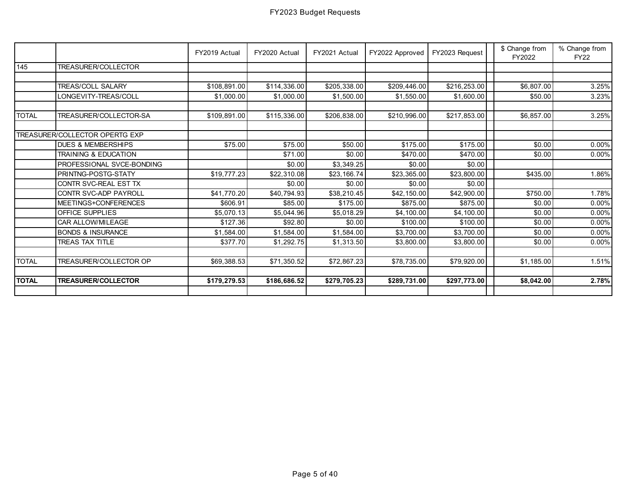|                 |                                 | FY2019 Actual | FY2020 Actual | FY2021 Actual | FY2022 Approved | FY2023 Request | \$ Change from<br>FY2022 | % Change from<br><b>FY22</b> |
|-----------------|---------------------------------|---------------|---------------|---------------|-----------------|----------------|--------------------------|------------------------------|
| $\frac{145}{2}$ | <b>TREASURER/COLLECTOR</b>      |               |               |               |                 |                |                          |                              |
|                 |                                 |               |               |               |                 |                |                          |                              |
|                 | <b>TREAS/COLL SALARY</b>        | \$108,891.00  | \$114,336.00  | \$205,338.00  | \$209,446.00    | \$216,253.00   | \$6,807.00               | 3.25%                        |
|                 | LONGEVITY-TREAS/COLL            | \$1,000.00    | \$1,000.00    | \$1,500.00    | \$1,550.00      | \$1,600.00     | \$50.00                  | 3.23%                        |
|                 |                                 |               |               |               |                 |                |                          |                              |
| <b>TOTAL</b>    | TREASURER/COLLECTOR-SA          | \$109.891.00  | \$115,336.00  | \$206,838.00  | \$210.996.00    | \$217,853.00   | \$6,857.00               | 3.25%                        |
|                 |                                 |               |               |               |                 |                |                          |                              |
|                 | TREASURER/COLLECTOR OPERTG EXP  |               |               |               |                 |                |                          |                              |
|                 | <b>DUES &amp; MEMBERSHIPS</b>   | \$75.00       | \$75.00       | \$50.00       | \$175.00        | \$175.00       | \$0.00                   | $0.00\%$                     |
|                 | <b>TRAINING &amp; EDUCATION</b> |               | \$71.00       | \$0.00        | \$470.00        | \$470.00       | \$0.00                   | 0.00%                        |
|                 | PROFESSIONAL SVCE-BONDING       |               | \$0.00        | \$3,349.25    | \$0.00          | \$0.00         |                          |                              |
|                 | PRINTNG-POSTG-STATY             | \$19,777.23   | \$22,310.08   | \$23,166.74   | \$23,365.00     | \$23,800.00    | \$435.00                 | 1.86%                        |
|                 | CONTR SVC-REAL EST TX           |               | \$0.00        | \$0.00        | \$0.00          | \$0.00         |                          |                              |
|                 | CONTR SVC-ADP PAYROLL           | \$41,770.20   | \$40,794.93   | \$38,210.45   | \$42,150.00     | \$42,900.00    | \$750.00                 | 1.78%                        |
|                 | MEETINGS+CONFERENCES            | \$606.91      | \$85.00       | \$175.00      | \$875.00        | \$875.00       | \$0.00                   | 0.00%                        |
|                 | <b>OFFICE SUPPLIES</b>          | \$5,070.13    | \$5,044.96    | \$5,018.29    | \$4,100.00      | \$4,100.00     | \$0.00                   | 0.00%                        |
|                 | CAR ALLOW/MILEAGE               | \$127.36      | \$92.80       | \$0.00        | \$100.00        | \$100.00       | \$0.00                   | $0.00\%$                     |
|                 | <b>BONDS &amp; INSURANCE</b>    | \$1,584.00    | \$1,584.00    | \$1,584.00    | \$3,700.00      | \$3,700.00     | \$0.00                   | 0.00%                        |
|                 | <b>TREAS TAX TITLE</b>          | \$377.70      | \$1,292.75    | \$1,313.50    | \$3,800.00      | \$3,800.00     | \$0.00                   | 0.00%                        |
|                 |                                 |               |               |               |                 |                |                          |                              |
| <b>TOTAL</b>    | TREASURER/COLLECTOR OP          | \$69,388.53   | \$71,350.52   | \$72,867.23   | \$78,735.00     | \$79,920.00    | \$1.185.00               | 1.51%                        |
|                 |                                 |               |               |               |                 |                |                          |                              |
| <b>TOTAL</b>    | <b>TREASURER/COLLECTOR</b>      | \$179,279.53  | \$186,686.52  | \$279,705.23  | \$289,731.00    | \$297,773.00   | \$8,042.00               | 2.78%                        |
|                 |                                 |               |               |               |                 |                |                          |                              |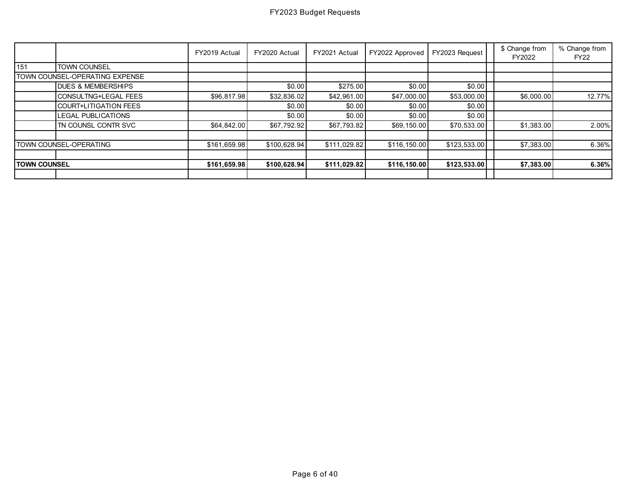|                     |                                | FY2019 Actual | FY2020 Actual | FY2021 Actual | FY2022 Approved | FY2023 Request | \$ Change from<br>FY2022 | % Change from<br><b>FY22</b> |
|---------------------|--------------------------------|---------------|---------------|---------------|-----------------|----------------|--------------------------|------------------------------|
| 151                 | <b>TOWN COUNSEL</b>            |               |               |               |                 |                |                          |                              |
|                     | TOWN COUNSEL-OPERATING EXPENSE |               |               |               |                 |                |                          |                              |
|                     | <b>IDUES &amp; MEMBERSHIPS</b> |               | \$0.00        | \$275.00      | \$0.00          | \$0.00         |                          |                              |
|                     | <b>CONSULTNG+LEGAL FEES</b>    | \$96,817.98   | \$32,836.02   | \$42,961.00   | \$47,000.00     | \$53,000.00    | \$6,000.00               | 12.77%                       |
|                     | COURT+LITIGATION FEES          |               | \$0.00        | \$0.00        | \$0.00          | \$0.00         |                          |                              |
|                     | <b>LEGAL PUBLICATIONS</b>      |               | \$0.00        | \$0.00        | \$0.00          | \$0.00         |                          |                              |
|                     | <b>ITN COUNSL CONTR SVC</b>    | \$64,842.00   | \$67,792.92   | \$67,793.82   | \$69,150.00     | \$70,533.00    | \$1,383.00               | 2.00%                        |
|                     | <b>TOWN COUNSEL-OPERATING</b>  | \$161,659.98  | \$100,628.94  | \$111,029.82  | \$116,150.00    | \$123,533.00   | \$7,383.00               | 6.36%                        |
|                     |                                |               |               |               |                 |                |                          |                              |
| <b>TOWN COUNSEL</b> |                                | \$161,659.98  | \$100,628.94  | \$111,029.82  | \$116, 150.00   | \$123,533.00   | \$7,383.00               | 6.36%                        |
|                     |                                |               |               |               |                 |                |                          |                              |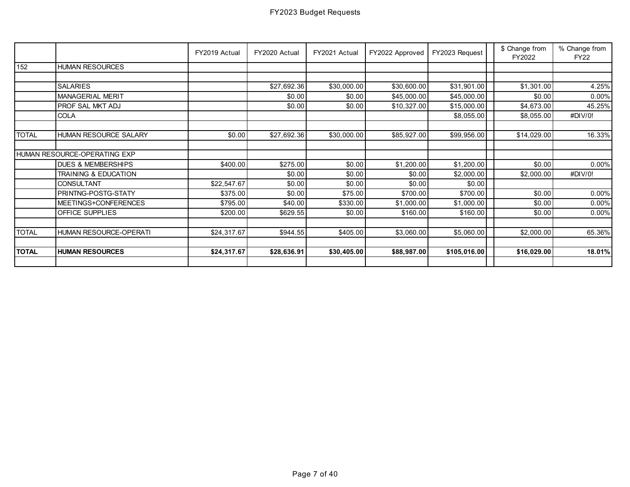|              |                               | FY2019 Actual | FY2020 Actual | FY2021 Actual | FY2022 Approved | FY2023 Request | \$ Change from<br>FY2022 | % Change from<br><b>FY22</b> |
|--------------|-------------------------------|---------------|---------------|---------------|-----------------|----------------|--------------------------|------------------------------|
| 152          | <b>HUMAN RESOURCES</b>        |               |               |               |                 |                |                          |                              |
|              |                               |               |               |               |                 |                |                          |                              |
|              | <b>SALARIES</b>               |               | \$27,692.36   | \$30,000.00   | \$30,600.00     | \$31,901.00    | \$1,301.00               | 4.25%                        |
|              | <b>MANAGERIAL MERIT</b>       |               | \$0.00        | \$0.00        | \$45,000.00     | \$45,000.00    | \$0.00                   | $0.00\%$                     |
|              | PROF SAL MKT ADJ              |               | \$0.00        | \$0.00        | \$10,327.00     | \$15,000.00    | \$4,673.00               | 45.25%                       |
|              | COLA                          |               |               |               |                 | \$8,055.00     | \$8,055.00               | #DIV/0!                      |
|              |                               |               |               |               |                 |                |                          |                              |
| <b>TOTAL</b> | HUMAN RESOURCE SALARY         | \$0.00        | \$27,692.36   | \$30,000.00   | \$85,927.00     | \$99,956.00    | \$14,029.00              | 16.33%                       |
|              |                               |               |               |               |                 |                |                          |                              |
|              | HUMAN RESOURCE-OPERATING EXP  |               |               |               |                 |                |                          |                              |
|              | <b>DUES &amp; MEMBERSHIPS</b> | \$400.00]     | \$275.00      | \$0.00        | \$1,200.00      | \$1,200.00     | \$0.00                   | $0.00\%$                     |
|              | TRAINING & EDUCATION          |               | \$0.00        | \$0.00        | \$0.00          | \$2,000.00     | \$2,000.00               | #DIV/0!                      |
|              | <b>CONSULTANT</b>             | \$22,547.67   | \$0.00        | \$0.00        | \$0.00          | \$0.00         |                          |                              |
|              | PRINTNG-POSTG-STATY           | \$375.00      | \$0.00        | \$75.00       | \$700.00        | \$700.00       | \$0.00                   | $0.00\%$                     |
|              | MEETINGS+CONFERENCES          | \$795.00      | \$40.00       | \$330.00      | \$1,000.00      | \$1,000.00     | \$0.00                   | $0.00\%$                     |
|              | OFFICE SUPPLIES               | \$200.00      | \$629.55      | \$0.00        | \$160.00        | \$160.00       | \$0.00                   | $0.00\%$                     |
|              |                               |               |               |               |                 |                |                          |                              |
| <b>TOTAL</b> | HUMAN RESOURCE-OPERATI        | \$24,317.67   | \$944.55      | \$405.00      | \$3,060.00      | \$5,060.00     | \$2,000.00               | 65.36%                       |
|              |                               |               |               |               |                 |                |                          |                              |
| <b>TOTAL</b> | <b>HUMAN RESOURCES</b>        | \$24,317.67   | \$28,636.91   | \$30,405.00   | \$88,987.00     | \$105,016.00   | \$16,029.00              | 18.01%                       |
|              |                               |               |               |               |                 |                |                          |                              |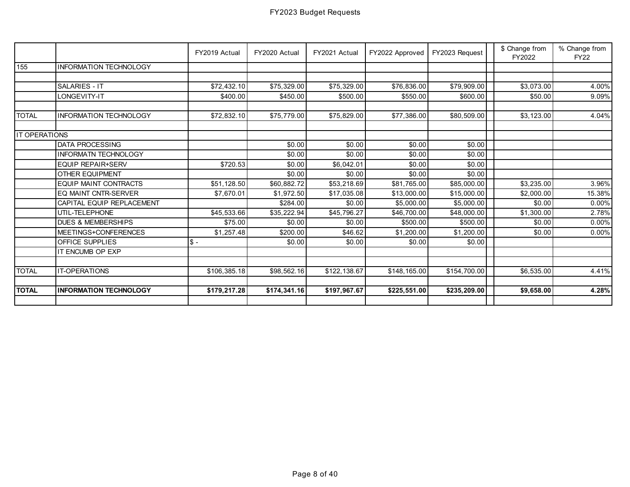|                   |                               | FY2019 Actual | FY2020 Actual | FY2021 Actual | FY2022 Approved | FY2023 Request | \$ Change from<br>FY2022 | % Change from<br><b>FY22</b> |
|-------------------|-------------------------------|---------------|---------------|---------------|-----------------|----------------|--------------------------|------------------------------|
| 155               | <b>INFORMATION TECHNOLOGY</b> |               |               |               |                 |                |                          |                              |
|                   |                               |               |               |               |                 |                |                          |                              |
|                   | <b>SALARIES - IT</b>          | \$72,432.10   | \$75,329.00   | \$75,329.00   | \$76,836.00     | \$79,909.00    | \$3,073.00               | 4.00%                        |
|                   | LONGEVITY-IT                  | \$400.00      | \$450.00      | \$500.00      | \$550.00        | \$600.00       | \$50.00                  | 9.09%                        |
|                   |                               |               |               |               |                 |                |                          |                              |
| <b>TOTAL</b>      | <b>INFORMATION TECHNOLOGY</b> | \$72,832.10   | \$75,779.00   | \$75,829.00   | \$77,386.00     | \$80,509.00    | \$3,123.00               | 4.04%                        |
|                   |                               |               |               |               |                 |                |                          |                              |
| <b>OPERATIONS</b> |                               |               |               |               |                 |                |                          |                              |
|                   | <b>DATA PROCESSING</b>        |               | \$0.00        | \$0.00        | \$0.00          | \$0.00         |                          |                              |
|                   | <b>INFORMATN TECHNOLOGY</b>   |               | \$0.00        | \$0.00        | \$0.00          | \$0.00         |                          |                              |
|                   | <b>EQUIP REPAIR+SERV</b>      | \$720.53      | \$0.00        | \$6,042.01    | \$0.00          | \$0.00         |                          |                              |
|                   | <b>OTHER EQUIPMENT</b>        |               | \$0.00        | \$0.00        | \$0.00          | \$0.00         |                          |                              |
|                   | <b>EQUIP MAINT CONTRACTS</b>  | \$51,128.50   | \$60,882.72   | \$53,218.69   | \$81,765.00     | \$85,000.00    | \$3,235.00               | 3.96%                        |
|                   | EQ MAINT CNTR-SERVER          | \$7,670.01    | \$1,972.50    | \$17,035.08   | \$13,000.00     | \$15,000.00    | \$2,000.00               | 15.38%                       |
|                   | CAPITAL EQUIP REPLACEMENT     |               | \$284.00      | \$0.00        | \$5,000.00      | \$5,000.00     | \$0.00                   | 0.00%                        |
|                   | UTIL-TELEPHONE                | \$45,533.66   | \$35,222.94   | \$45,796.27   | \$46,700.00     | \$48,000.00    | \$1,300.00               | 2.78%                        |
|                   | <b>DUES &amp; MEMBERSHIPS</b> | \$75.00       | \$0.00        | \$0.00        | \$500.00        | \$500.00       | \$0.00                   | 0.00%                        |
|                   | MEETINGS+CONFERENCES          | \$1,257.48    | \$200.00      | \$46.62       | \$1,200.00      | \$1,200.00     | \$0.00                   | 0.00%                        |
|                   | <b>OFFICE SUPPLIES</b>        | $S -$         | \$0.00        | \$0.00        | \$0.00          | \$0.00         |                          |                              |
|                   | IT ENCUMB OP EXP              |               |               |               |                 |                |                          |                              |
|                   |                               |               |               |               |                 |                |                          |                              |
| <b>TOTAL</b>      | <b>IT-OPERATIONS</b>          | \$106,385.18  | \$98,562.16   | \$122,138.67  | \$148,165.00    | \$154,700.00   | \$6,535.00               | 4.41%                        |
|                   |                               |               |               |               |                 |                |                          |                              |
| <b>TOTAL</b>      | <b>INFORMATION TECHNOLOGY</b> | \$179,217.28  | \$174.341.16  | \$197,967.67  | \$225,551.00    | \$235,209.00   | \$9,658.00               | 4.28%                        |
|                   |                               |               |               |               |                 |                |                          |                              |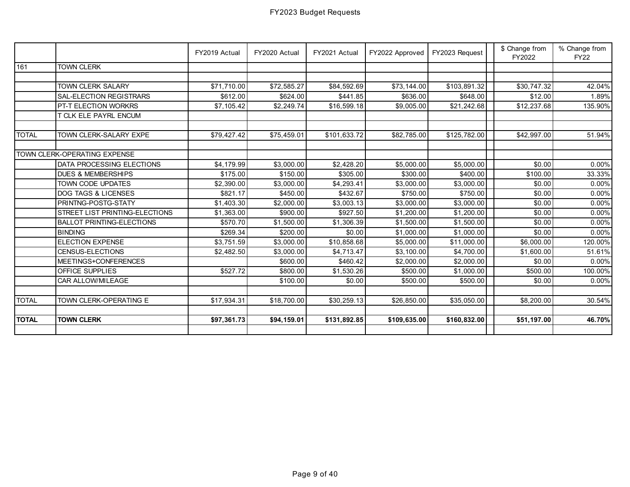|              |                                  | FY2019 Actual | FY2020 Actual | FY2021 Actual | FY2022 Approved | FY2023 Request | \$ Change from<br>FY2022 | % Change from<br><b>FY22</b> |
|--------------|----------------------------------|---------------|---------------|---------------|-----------------|----------------|--------------------------|------------------------------|
| 161          | <b>TOWN CLERK</b>                |               |               |               |                 |                |                          |                              |
|              |                                  |               |               |               |                 |                |                          |                              |
|              | <b>TOWN CLERK SALARY</b>         | \$71,710.00   | \$72,585.27   | \$84,592.69   | \$73,144.00     | \$103,891.32   | \$30,747.32              | 42.04%                       |
|              | SAL-ELECTION REGISTRARS          | \$612.00      | \$624.00      | \$441.85      | \$636.00        | \$648.00       | \$12.00                  | 1.89%                        |
|              | PT-T ELECTION WORKRS             | \$7,105.42    | \$2,249.74    | \$16,599.18   | \$9,005.00      | \$21,242.68    | \$12,237.68              | 135.90%                      |
|              | T CLK ELE PAYRL ENCUM            |               |               |               |                 |                |                          |                              |
|              |                                  |               |               |               |                 |                |                          |                              |
| <b>TOTAL</b> | TOWN CLERK-SALARY EXPE           | \$79,427.42   | \$75,459.01   | \$101,633.72  | \$82,785.00     | \$125,782.00   | \$42,997.00              | 51.94%                       |
|              |                                  |               |               |               |                 |                |                          |                              |
|              | TOWN CLERK-OPERATING EXPENSE     |               |               |               |                 |                |                          |                              |
|              | DATA PROCESSING ELECTIONS        | \$4,179.99    | \$3,000.00    | \$2,428.20    | \$5,000.00      | \$5,000.00     | \$0.00                   | 0.00%                        |
|              | <b>DUES &amp; MEMBERSHIPS</b>    | \$175.00      | \$150.00      | \$305.00      | \$300.00        | \$400.00       | \$100.00                 | 33.33%                       |
|              | TOWN CODE UPDATES                | \$2,390.00    | \$3,000.00    | \$4,293.41    | \$3,000.00      | \$3,000.00     | \$0.00                   | 0.00%                        |
|              | DOG TAGS & LICENSES              | \$821.17      | \$450.00      | \$432.67      | \$750.00        | \$750.00       | \$0.00                   | 0.00%                        |
|              | PRINTNG-POSTG-STATY              | \$1,403.30    | \$2,000.00    | \$3,003.13    | \$3,000.00      | \$3,000.00     | \$0.00                   | 0.00%                        |
|              | STREET LIST PRINTING-ELECTIONS   | \$1,363.00    | \$900.00      | \$927.50      | \$1,200.00      | \$1,200.00     | \$0.00                   | 0.00%                        |
|              | <b>BALLOT PRINTING-ELECTIONS</b> | \$570.70      | \$1,500.00    | \$1,306.39    | \$1,500.00      | \$1,500.00     | \$0.00                   | 0.00%                        |
|              | <b>BINDING</b>                   | \$269.34      | \$200.00      | \$0.00        | \$1,000.00      | \$1,000.00     | \$0.00                   | 0.00%                        |
|              | <b>ELECTION EXPENSE</b>          | \$3,751.59    | \$3,000.00    | \$10,858.68   | \$5,000.00      | \$11,000.00    | \$6,000.00               | 120.00%                      |
|              | CENSUS-ELECTIONS                 | \$2,482.50    | \$3,000.00    | \$4,713.47    | \$3,100.00      | \$4,700.00     | \$1,600.00               | 51.61%                       |
|              | MEETINGS+CONFERENCES             |               | \$600.00      | \$460.42      | \$2,000.00      | \$2,000.00     | \$0.00                   | 0.00%                        |
|              | OFFICE SUPPLIES                  | \$527.72      | \$800.00      | \$1,530.26    | \$500.00        | \$1,000.00     | \$500.00                 | 100.00%                      |
|              | CAR ALLOW/MILEAGE                |               | \$100.00      | \$0.00        | \$500.00        | \$500.00       | \$0.00                   | $0.00\%$                     |
|              |                                  |               |               |               |                 |                |                          |                              |
| <b>TOTAL</b> | TOWN CLERK-OPERATING E           | \$17,934.31   | \$18,700.00   | \$30,259.13   | \$26,850.00     | \$35,050.00    | \$8,200.00               | 30.54%                       |
|              |                                  |               |               |               |                 |                |                          |                              |
| <b>TOTAL</b> | <b>TOWN CLERK</b>                | \$97,361.73   | \$94,159.01   | \$131,892.85  | \$109,635.00    | \$160,832.00   | \$51,197.00              | 46.70%                       |
|              |                                  |               |               |               |                 |                |                          |                              |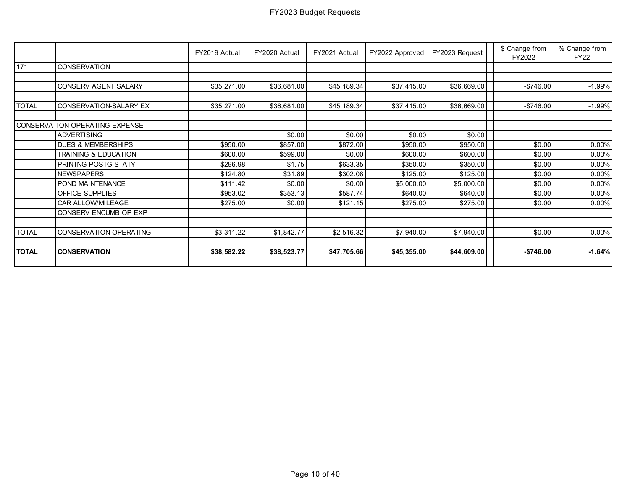|              |                                | FY2019 Actual | FY2020 Actual | FY2021 Actual | FY2022 Approved | FY2023 Request | \$ Change from<br>FY2022 | % Change from<br><b>FY22</b> |
|--------------|--------------------------------|---------------|---------------|---------------|-----------------|----------------|--------------------------|------------------------------|
| 171          | <b>CONSERVATION</b>            |               |               |               |                 |                |                          |                              |
|              |                                |               |               |               |                 |                |                          |                              |
|              | CONSERV AGENT SALARY           | \$35,271.00   | \$36,681.00   | \$45,189.34   | \$37,415.00     | \$36,669.00    | $-$746.00$               | $-1.99%$                     |
|              |                                |               |               |               |                 |                |                          |                              |
| <b>TOTAL</b> | CONSERVATION-SALARY EX         | \$35,271.00   | \$36,681.00   | \$45,189.34   | \$37,415.00     | \$36,669.00    | $-$746.00$               | $-1.99%$                     |
|              |                                |               |               |               |                 |                |                          |                              |
|              | CONSERVATION-OPERATING EXPENSE |               |               |               |                 |                |                          |                              |
|              | <b>ADVERTISING</b>             |               | \$0.00        | \$0.00        | \$0.00          | \$0.00         |                          |                              |
|              | <b>DUES &amp; MEMBERSHIPS</b>  | \$950.00      | \$857.00      | \$872.00      | \$950.00        | \$950.00       | \$0.00                   | 0.00%                        |
|              | TRAINING & EDUCATION           | \$600.00      | \$599.00      | \$0.00        | \$600.00        | \$600.00       | \$0.00                   | 0.00%                        |
|              | PRINTNG-POSTG-STATY            | \$296.98      | \$1.75        | \$633.35      | \$350.00        | \$350.00       | \$0.00                   | 0.00%                        |
|              | <b>NEWSPAPERS</b>              | \$124.80      | \$31.89       | \$302.08      | \$125.00        | \$125.00       | \$0.00                   | 0.00%                        |
|              | POND MAINTENANCE               | \$111.42      | \$0.00        | \$0.00        | \$5,000.00      | \$5,000.00     | \$0.00                   | 0.00%                        |
|              | <b>OFFICE SUPPLIES</b>         | \$953.02      | \$353.13      | \$587.74      | \$640.00        | \$640.00]      | \$0.00                   | $0.00\%$                     |
|              | CAR ALLOW/MILEAGE              | \$275.00      | \$0.00        | \$121.15      | \$275.00        | \$275.00       | \$0.00                   | 0.00%                        |
|              | CONSERV ENCUMB OP EXP          |               |               |               |                 |                |                          |                              |
|              |                                |               |               |               |                 |                |                          |                              |
| <b>TOTAL</b> | CONSERVATION-OPERATING         | \$3,311.22    | \$1,842.77    | \$2,516.32    | \$7,940.00      | \$7,940.00     | \$0.00                   | $0.00\%$                     |
|              |                                |               |               |               |                 |                |                          |                              |
| <b>TOTAL</b> | <b>CONSERVATION</b>            | \$38,582.22   | \$38,523.77   | \$47,705.66   | \$45,355.00     | \$44,609.00    | $-$746.00$               | $-1.64%$                     |
|              |                                |               |               |               |                 |                |                          |                              |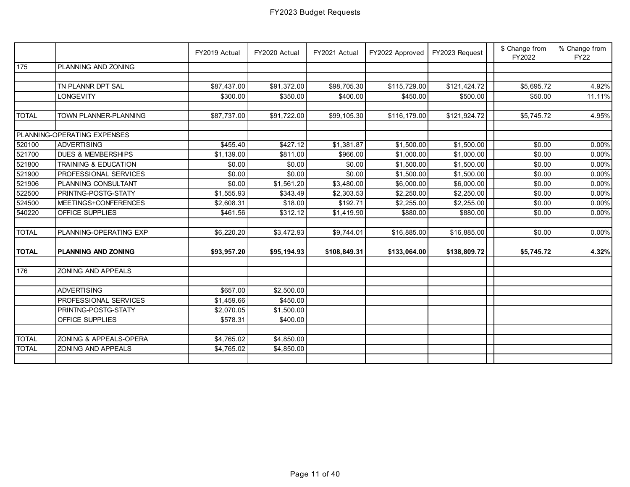|              |                               | FY2019 Actual | FY2020 Actual | FY2021 Actual | FY2022 Approved | FY2023 Request | \$ Change from<br>FY2022 | % Change from<br><b>FY22</b> |
|--------------|-------------------------------|---------------|---------------|---------------|-----------------|----------------|--------------------------|------------------------------|
| 175          | PLANNING AND ZONING           |               |               |               |                 |                |                          |                              |
|              |                               |               |               |               |                 |                |                          |                              |
|              | TN PLANNR DPT SAL             | \$87,437.00   | \$91,372.00   | \$98,705.30   | \$115,729.00    | \$121,424.72   | \$5,695.72               | 4.92%                        |
|              | <b>LONGEVITY</b>              | \$300.00      | \$350.00      | \$400.00      | \$450.00        | \$500.00       | \$50.00                  | 11.11%                       |
| <b>TOTAL</b> | TOWN PLANNER-PLANNING         | \$87,737.00   | \$91,722.00   | \$99,105.30   | \$116,179.00    | \$121,924.72   | \$5,745.72               | 4.95%                        |
|              | PLANNING-OPERATING EXPENSES   |               |               |               |                 |                |                          |                              |
| 520100       | <b>ADVERTISING</b>            | \$455.40      | \$427.12      | \$1,381.87    | \$1,500.00      | \$1,500.00     | \$0.00                   | 0.00%                        |
| 521700       | <b>DUES &amp; MEMBERSHIPS</b> | \$1,139.00    | \$811.00      | \$966.00      | \$1,000.00      | \$1,000.00     | \$0.00                   | 0.00%                        |
| 521800       | TRAINING & EDUCATION          | \$0.00        | \$0.00        | \$0.00        | \$1,500.00      | \$1,500.00     | \$0.00                   | 0.00%                        |
| 521900       | PROFESSIONAL SERVICES         | \$0.00        | \$0.00        | \$0.00        | \$1,500.00      | \$1,500.00     | \$0.00                   | 0.00%                        |
| 521906       | PLANNING CONSULTANT           | \$0.00        | \$1,561.20    | \$3,480.00    | \$6,000.00      | \$6,000.00     | \$0.00                   | 0.00%                        |
| 522500       | PRINTNG-POSTG-STATY           | \$1,555.93    | \$343.49      | \$2,303.53    | \$2,250.00      | \$2,250.00     | \$0.00                   | 0.00%                        |
| 524500       | MEETINGS+CONFERENCES          | \$2,608.31    | \$18.00       | \$192.71      | \$2,255.00      | \$2,255.00     | \$0.00                   | 0.00%                        |
| 540220       | <b>OFFICE SUPPLIES</b>        | \$461.56      | \$312.12      | \$1,419.90    | \$880.00        | \$880.00       | \$0.00                   | 0.00%                        |
| <b>TOTAL</b> | PLANNING-OPERATING EXP        | \$6,220.20    | \$3,472.93    | \$9,744.01    | \$16,885.00     | \$16,885.00    | \$0.00                   | 0.00%                        |
| <b>TOTAL</b> | <b>PLANNING AND ZONING</b>    | \$93,957.20   | \$95,194.93   | \$108,849.31  | \$133,064.00    | \$138,809.72   | \$5,745.72               | 4.32%                        |
| 176          | ZONING AND APPEALS            |               |               |               |                 |                |                          |                              |
|              | <b>ADVERTISING</b>            | \$657.00      | \$2,500.00    |               |                 |                |                          |                              |
|              | PROFESSIONAL SERVICES         | \$1,459.66    | \$450.00      |               |                 |                |                          |                              |
|              | PRINTNG-POSTG-STATY           | \$2,070.05    | \$1,500.00    |               |                 |                |                          |                              |
|              | <b>OFFICE SUPPLIES</b>        | \$578.31      | \$400.00      |               |                 |                |                          |                              |
|              |                               |               |               |               |                 |                |                          |                              |
| <b>TOTAL</b> | ZONING & APPEALS-OPERA        | \$4,765.02    | \$4,850.00    |               |                 |                |                          |                              |
| <b>TOTAL</b> | <b>ZONING AND APPEALS</b>     | \$4,765.02    | \$4,850.00    |               |                 |                |                          |                              |
|              |                               |               |               |               |                 |                |                          |                              |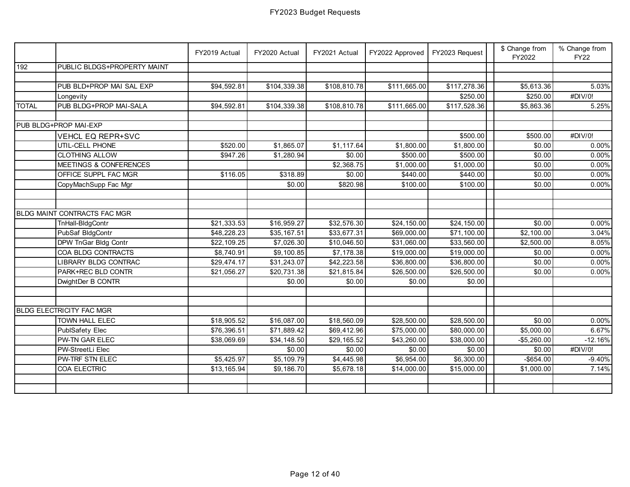|              |                              | FY2019 Actual | FY2020 Actual          | FY2021 Actual | FY2022 Approved        | FY2023 Request | \$ Change from<br>FY2022 | % Change from<br><b>FY22</b> |
|--------------|------------------------------|---------------|------------------------|---------------|------------------------|----------------|--------------------------|------------------------------|
| 192          | PUBLIC BLDGS+PROPERTY MAINT  |               |                        |               |                        |                |                          |                              |
|              |                              |               |                        |               |                        |                |                          |                              |
|              | PUB BLD+PROP MAI SAL EXP     | \$94,592.81   | \$104,339.38           | \$108,810.78  | \$111,665.00           | \$117,278.36   | \$5,613.36               | 5.03%                        |
|              | Longevity                    |               |                        |               |                        | \$250.00       | \$250.00                 | #DIV/0!                      |
| <b>TOTAL</b> | PUB BLDG+PROP MAI-SALA       | \$94,592.81   | \$104,339.38           | \$108,810.78  | \$111,665.00           | \$117,528.36   | \$5,863.36               | 5.25%                        |
|              |                              |               |                        |               |                        |                |                          |                              |
|              | PUB BLDG+PROP MAI-EXP        |               |                        |               |                        |                |                          |                              |
|              | <b>VEHCL EQ REPR+SVC</b>     |               |                        |               |                        | \$500.00       | \$500.00                 | #DIV/0!                      |
|              | UTIL-CELL PHONE              | \$520.00      | \$1,865.07             | \$1,117.64    | \$1,800.00             | \$1,800.00     | \$0.00                   | 0.00%                        |
|              | <b>CLOTHING ALLOW</b>        | \$947.26      | \$1,280.94             | \$0.00        | \$500.00               | \$500.00       | \$0.00                   | 0.00%                        |
|              | MEETINGS & CONFERENCES       |               |                        | \$2,368.75    | \$1,000.00             | \$1,000.00     | \$0.00                   | 0.00%                        |
|              | OFFICE SUPPL FAC MGR         | \$116.05      | \$318.89               | \$0.00        | \$440.00               | \$440.00       | \$0.00                   | 0.00%                        |
|              | CopyMachSupp Fac Mgr         |               | \$0.00                 | \$820.98      | \$100.00               | \$100.00       | \$0.00                   | 0.00%                        |
|              |                              |               |                        |               |                        |                |                          |                              |
|              |                              |               |                        |               |                        |                |                          |                              |
|              | BLDG MAINT CONTRACTS FAC MGR |               |                        |               |                        |                |                          |                              |
|              | TnHall-BldgContr             | \$21,333.53   | \$16,959.27            | \$32,576.30   | \$24,150.00            | \$24,150.00    | \$0.00                   | 0.00%                        |
|              | PubSaf BldgContr             | \$48,228.23   | \$35,167.51            | \$33,677.31   | \$69,000.00            | \$71,100.00    | \$2,100.00               | 3.04%                        |
|              | DPW TnGar Bldg Contr         | \$22,109.25   | \$7,026.30             | \$10,046.50   | \$31,060.00            | \$33,560.00    | \$2,500.00               | 8.05%                        |
|              | COA BLDG CONTRACTS           | \$8,740.91    | \$9,100.85             | \$7,178.38    | \$19,000.00            | \$19,000.00    | \$0.00                   | 0.00%                        |
|              | LIBRARY BLDG CONTRAC         | \$29,474.17   | \$31,243.07            | \$42,223.58   | \$36,800.00            | \$36,800.00    | \$0.00                   | 0.00%                        |
|              | PARK+REC BLD CONTR           | \$21,056.27   | \$20,731.38            | \$21,815.84   | \$26,500.00            | \$26,500.00    | \$0.00                   | 0.00%                        |
|              | DwightDer B CONTR            |               | \$0.00                 | \$0.00        | \$0.00                 | \$0.00         |                          |                              |
|              |                              |               |                        |               |                        |                |                          |                              |
|              | BLDG ELECTRICITY FAC MGR     |               |                        |               |                        |                |                          |                              |
|              | TOWN HALL ELEC               | \$18,905.52   | \$16,087.00            | \$18,560.09   | \$28,500.00            | \$28,500.00    | \$0.00                   | 0.00%                        |
|              | PublSafety Elec              | \$76,396.51   | \$71,889.42            | \$69,412.96   | \$75,000.00            | \$80,000.00    | \$5,000.00               | 6.67%                        |
|              | PW-TN GAR ELEC               | \$38,069.69   |                        | \$29,165.52   | \$43,260.00            | \$38,000.00    | $-$5,260.00$             |                              |
|              |                              |               | \$34,148.50            |               |                        |                |                          | $-12.16%$                    |
|              | PW-StreetLi Elec             |               | \$0.00                 | \$0.00        | \$0.00                 | \$0.00         | \$0.00                   | #DIV/0!                      |
|              | PW-TRF STN ELEC              | \$5,425.97    | $\overline{$5,109.79}$ | \$4,445.98    | $\overline{$6,954.00}$ | \$6,300.00     | $-$ \$654.00             | $-9.40%$                     |
|              | COA ELECTRIC                 | \$13,165.94   | \$9,186.70             | \$5,678.18    | \$14,000.00            | \$15,000.00    | \$1,000.00               | 7.14%                        |
|              |                              |               |                        |               |                        |                |                          |                              |
|              |                              |               |                        |               |                        |                |                          |                              |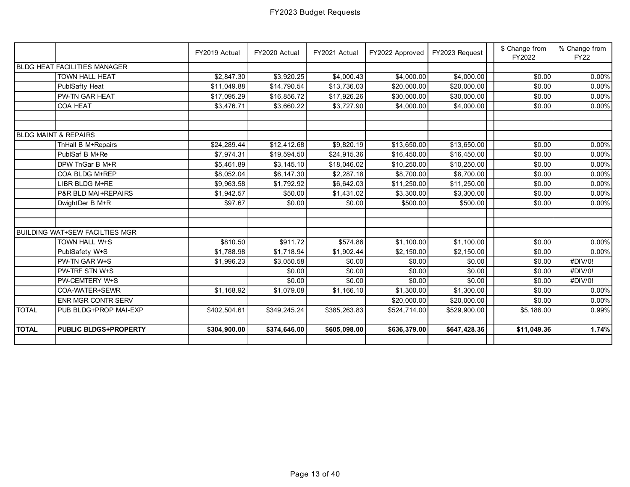|              |                                       | FY2019 Actual | FY2020 Actual | FY2021 Actual          | FY2022 Approved | FY2023 Request | \$ Change from<br>FY2022 | % Change from<br><b>FY22</b> |
|--------------|---------------------------------------|---------------|---------------|------------------------|-----------------|----------------|--------------------------|------------------------------|
|              | <b>BLDG HEAT FACILITIES MANAGER</b>   |               |               |                        |                 |                |                          |                              |
|              | <b>TOWN HALL HEAT</b>                 | \$2,847.30    | \$3,920.25    | \$4,000.43             | \$4,000.00      | \$4,000.00     | \$0.00                   | 0.00%                        |
|              | PublSafty Heat                        | \$11,049.88   | \$14,790.54   | \$13,736.03            | \$20,000.00     | \$20,000.00    | \$0.00                   | 0.00%                        |
|              | PW-TN GAR HEAT                        | \$17,095.29   | \$16,856.72   | \$17,926.26            | \$30,000.00     | \$30,000.00    | \$0.00                   | $0.00\%$                     |
|              | COA HEAT                              | \$3,476.71    | \$3,660.22    | $\overline{$3,727.90}$ | \$4,000.00      | \$4,000.00     | \$0.00                   | 0.00%                        |
|              |                                       |               |               |                        |                 |                |                          |                              |
|              |                                       |               |               |                        |                 |                |                          |                              |
|              | <b>BLDG MAINT &amp; REPAIRS</b>       |               |               |                        |                 |                |                          |                              |
|              | TnHall B M+Repairs                    | \$24,289.44   | \$12,412.68   | \$9,820.19             | \$13,650.00     | \$13,650.00    | \$0.00                   | 0.00%                        |
|              | PublSaf B M+Re                        | \$7,974.31    | \$19,594.50   | \$24,915.36            | \$16,450.00     | \$16,450.00    | \$0.00                   | 0.00%                        |
|              | DPW TnGar B M+R                       | \$5,461.89    | \$3,145.10    | \$18,046.02            | \$10,250.00     | \$10,250.00    | \$0.00                   | 0.00%                        |
|              | COA BLDG M+REP                        | \$8,052.04    | \$6,147.30    | \$2,287.18             | \$8,700.00      | \$8,700.00     | \$0.00                   | 0.00%                        |
|              | LIBR BLDG M+RE                        | \$9,963.58    | \$1,792.92    | \$6,642.03             | \$11,250.00     | \$11,250.00    | \$0.00                   | $0.00\%$                     |
|              | P&R BLD MAI+REPAIRS                   | \$1,942.57    | \$50.00       | \$1,431.02             | \$3,300.00      | \$3,300.00     | \$0.00                   | $0.00\%$                     |
|              | DwightDer B M+R                       | \$97.67       | \$0.00        | \$0.00                 | \$500.00        | \$500.00       | \$0.00                   | $0.00\%$                     |
|              |                                       |               |               |                        |                 |                |                          |                              |
|              | <b>BUILDING WAT+SEW FACILTIES MGR</b> |               |               |                        |                 |                |                          |                              |
|              | TOWN HALL W+S                         | \$810.50      | \$911.72      | \$574.86               | \$1,100.00      | \$1,100.00     | \$0.00                   | 0.00%                        |
|              | PublSafety W+S                        | \$1,788.98    | \$1,718.94    | \$1,902.44             | \$2,150.00      | \$2,150.00     | \$0.00                   | $0.00\%$                     |
|              | PW-TN GAR W+S                         | \$1,996.23    | \$3,050.58    | \$0.00                 | \$0.00          | \$0.00         | \$0.00                   | #DIV/0!                      |
|              | PW-TRF STN W+S                        |               | \$0.00        | \$0.00                 | \$0.00          | \$0.00         | \$0.00                   | #DIV/0!                      |
|              | PW-CEMTERY W+S                        |               | \$0.00        | \$0.00                 | \$0.00          | \$0.00         | \$0.00                   | #DIV/0!                      |
|              | COA-WATER+SEWR                        | \$1,168.92    | \$1,079.08    | \$1,166.10             | \$1,300.00      | \$1,300.00     | \$0.00                   | 0.00%                        |
|              | <b>ENR MGR CONTR SERV</b>             |               |               |                        | \$20,000.00     | \$20,000.00    | \$0.00                   | $0.00\%$                     |
| <b>TOTAL</b> | PUB BLDG+PROP MAI-EXP                 | \$402,504.61  | \$349,245.24  | \$385,263.83           | \$524,714.00    | \$529,900.00   | \$5,186.00               | 0.99%                        |
|              |                                       |               |               |                        |                 |                |                          |                              |
| <b>TOTAL</b> | <b>PUBLIC BLDGS+PROPERTY</b>          | \$304,900.00  | \$374,646.00  | \$605,098.00           | \$636,379.00    | \$647,428.36   | \$11,049.36              | 1.74%                        |
|              |                                       |               |               |                        |                 |                |                          |                              |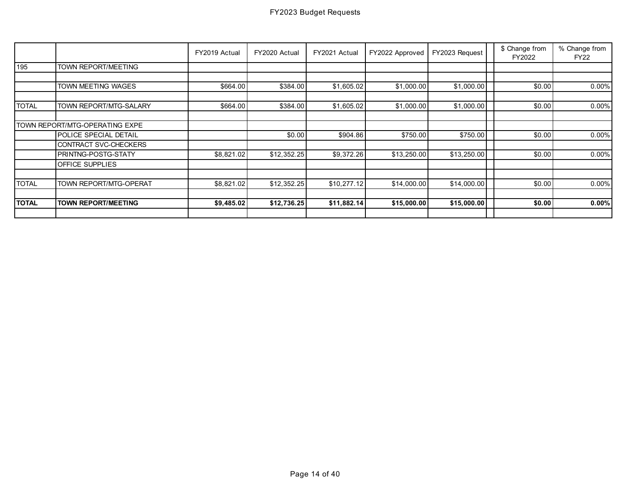|              |                                | FY2019 Actual | FY2020 Actual | FY2021 Actual | FY2022 Approved | FY2023 Request | \$ Change from<br>FY2022 | % Change from<br><b>FY22</b> |
|--------------|--------------------------------|---------------|---------------|---------------|-----------------|----------------|--------------------------|------------------------------|
| 195          | TOWN REPORT/MEETING            |               |               |               |                 |                |                          |                              |
|              |                                |               |               |               |                 |                |                          |                              |
|              | TOWN MEETING WAGES             | \$664.00      | \$384.00      | \$1,605.02    | \$1,000.00      | \$1,000.00     | \$0.00                   | 0.00%                        |
|              |                                |               |               |               |                 |                |                          |                              |
| <b>TOTAL</b> | TOWN REPORT/MTG-SALARY         | \$664.00      | \$384.00      | \$1,605.02    | \$1,000.00      | \$1,000.00     | \$0.00                   | $0.00\%$                     |
|              |                                |               |               |               |                 |                |                          |                              |
|              | TOWN REPORT/MTG-OPERATING EXPE |               |               |               |                 |                |                          |                              |
|              | POLICE SPECIAL DETAIL          |               | \$0.00        | \$904.86      | \$750.00        | \$750.00       | \$0.00                   | 0.00%                        |
|              | CONTRACT SVC-CHECKERS          |               |               |               |                 |                |                          |                              |
|              | PRINTNG-POSTG-STATY            | \$8,821.02    | \$12,352.25   | \$9,372.26    | \$13,250.00     | \$13,250.00    | \$0.00                   | 0.00%                        |
|              | <b>OFFICE SUPPLIES</b>         |               |               |               |                 |                |                          |                              |
| <b>TOTAL</b> | TOWN REPORT/MTG-OPERAT         | \$8,821.02    | \$12,352.25   | \$10,277.12   | \$14,000.00     | \$14,000.00    | \$0.00                   | 0.00%                        |
|              |                                |               |               |               |                 |                |                          |                              |
| <b>TOTAL</b> | <b>TOWN REPORT/MEETING</b>     | \$9,485.02    | \$12,736.25   | \$11,882.14   | \$15,000.00     | \$15,000.00    | \$0.00                   | 0.00%                        |
|              |                                |               |               |               |                 |                |                          |                              |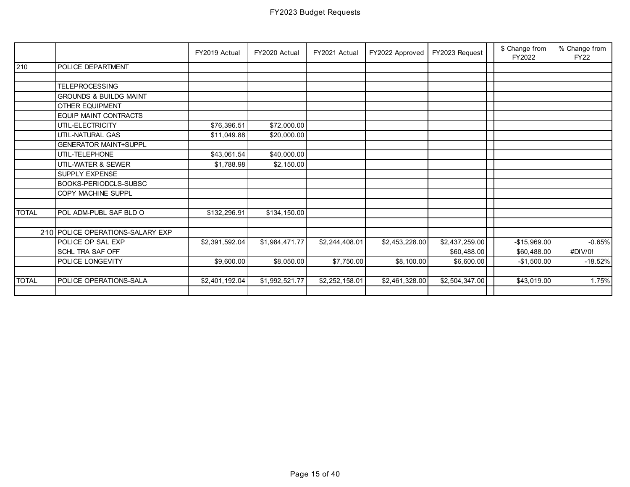|              |                                   | FY2019 Actual  | FY2020 Actual  | FY2021 Actual  | FY2022 Approved | FY2023 Request | \$ Change from<br>FY2022 | % Change from<br><b>FY22</b> |
|--------------|-----------------------------------|----------------|----------------|----------------|-----------------|----------------|--------------------------|------------------------------|
| 210          | POLICE DEPARTMENT                 |                |                |                |                 |                |                          |                              |
|              |                                   |                |                |                |                 |                |                          |                              |
|              | <b>TELEPROCESSING</b>             |                |                |                |                 |                |                          |                              |
|              | <b>GROUNDS &amp; BUILDG MAINT</b> |                |                |                |                 |                |                          |                              |
|              | <b>OTHER EQUIPMENT</b>            |                |                |                |                 |                |                          |                              |
|              | EQUIP MAINT CONTRACTS             |                |                |                |                 |                |                          |                              |
|              | UTIL-ELECTRICITY                  | \$76,396.51    | \$72,000.00    |                |                 |                |                          |                              |
|              | UTIL-NATURAL GAS                  | \$11,049.88    | \$20,000.00    |                |                 |                |                          |                              |
|              | <b>GENERATOR MAINT+SUPPL</b>      |                |                |                |                 |                |                          |                              |
|              | UTIL-TELEPHONE                    | \$43,061.54    | \$40,000.00    |                |                 |                |                          |                              |
|              | UTIL-WATER & SEWER                | \$1,788.98     | \$2,150.00     |                |                 |                |                          |                              |
|              | <b>SUPPLY EXPENSE</b>             |                |                |                |                 |                |                          |                              |
|              | BOOKS-PERIODCLS-SUBSC             |                |                |                |                 |                |                          |                              |
|              | COPY MACHINE SUPPL                |                |                |                |                 |                |                          |                              |
|              |                                   |                |                |                |                 |                |                          |                              |
| <b>TOTAL</b> | POL ADM-PUBL SAF BLD O            | \$132,296.91   | \$134,150.00   |                |                 |                |                          |                              |
|              |                                   |                |                |                |                 |                |                          |                              |
|              | 210 POLICE OPERATIONS-SALARY EXP  |                |                |                |                 |                |                          |                              |
|              | POLICE OP SAL EXP                 | \$2,391,592.04 | \$1,984,471.77 | \$2,244,408.01 | \$2,453,228.00  | \$2,437,259.00 | $-$15,969.00$            | $-0.65%$                     |
|              | SCHL TRA SAF OFF                  |                |                |                |                 | \$60,488.00    | \$60,488.00              | #DIV/0!                      |
|              | POLICE LONGEVITY                  | \$9,600.00     | \$8,050.00     | \$7,750.00     | \$8,100.00      | \$6,600.00     | $-$1,500.00$             | $-18.52%$                    |
|              |                                   |                |                |                |                 |                |                          |                              |
| <b>TOTAL</b> | POLICE OPERATIONS-SALA            | \$2,401,192.04 | \$1,992,521.77 | \$2,252,158.01 | \$2,461,328.00  | \$2,504,347.00 | \$43,019.00              | 1.75%                        |
|              |                                   |                |                |                |                 |                |                          |                              |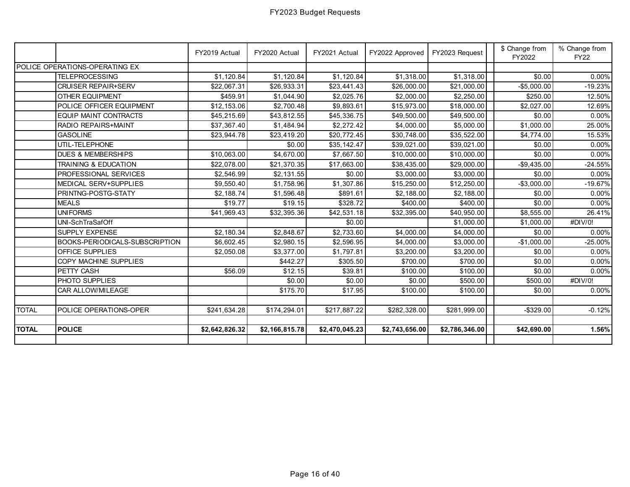|              |                                 | FY2019 Actual  | FY2020 Actual  | FY2021 Actual  | FY2022 Approved | FY2023 Request | \$ Change from<br>FY2022 | % Change from<br><b>FY22</b> |
|--------------|---------------------------------|----------------|----------------|----------------|-----------------|----------------|--------------------------|------------------------------|
|              | POLICE OPERATIONS-OPERATING EX  |                |                |                |                 |                |                          |                              |
|              | <b>TELEPROCESSING</b>           | \$1,120.84     | \$1,120.84     | \$1,120.84     | \$1,318.00      | \$1,318.00     | \$0.00                   | $0.00\%$                     |
|              | <b>CRUISER REPAIR+SERV</b>      | \$22,067.31    | \$26,933.31    | \$23,441.43    | \$26,000.00     | \$21,000.00    | $-$5,000.00$             | $-19.23%$                    |
|              | <b>OTHER EQUIPMENT</b>          | \$459.91       | \$1,044.90     | \$2,025.76     | \$2,000.00      | \$2,250.00     | \$250.00                 | 12.50%                       |
|              | POLICE OFFICER EQUIPMENT        | \$12,153.06    | \$2,700.48     | \$9,893.61     | \$15,973.00     | \$18,000.00    | \$2,027.00               | 12.69%                       |
|              | <b>EQUIP MAINT CONTRACTS</b>    | \$45,215.69    | \$43,812.55    | \$45,336.75    | \$49,500.00     | \$49,500.00    | \$0.00                   | $0.00\%$                     |
|              | RADIO REPAIRS+MAINT             | \$37,367.40    | \$1,484.94     | \$2,272.42     | \$4,000.00      | \$5,000.00     | \$1,000.00               | 25.00%                       |
|              | <b>GASOLINE</b>                 | \$23,944.78    | \$23,419.20    | \$20,772.45    | \$30,748.00     | \$35,522.00    | \$4,774.00               | 15.53%                       |
|              | UTIL-TELEPHONE                  |                | \$0.00         | \$35,142.47    | \$39,021.00     | \$39,021.00    | \$0.00                   | $0.00\%$                     |
|              | <b>DUES &amp; MEMBERSHIPS</b>   | \$10,063.00    | \$4,670.00     | \$7,667.50     | \$10,000.00     | \$10,000.00    | \$0.00                   | $0.00\%$                     |
|              | <b>TRAINING &amp; EDUCATION</b> | \$22,078.00    | \$21,370.35    | \$17,663.00    | \$38,435.00     | \$29,000.00    | $-$9,435.00$             | $-24.55%$                    |
|              | PROFESSIONAL SERVICES           | \$2,546.99     | \$2,131.55     | \$0.00         | \$3,000.00      | \$3,000.00     | \$0.00                   | $0.00\%$                     |
|              | <b>MEDICAL SERV+SUPPLIES</b>    | \$9,550.40     | \$1,758.96     | \$1,307.86     | \$15,250.00     | \$12,250.00    | $-$3,000.00$             | $-19.67%$                    |
|              | PRINTNG-POSTG-STATY             | \$2,188.74     | \$1,596.48     | \$891.61       | \$2,188.00      | \$2,188.00     | \$0.00                   | $0.00\%$                     |
|              | <b>MEALS</b>                    | \$19.77        | \$19.15        | \$328.72       | \$400.00        | \$400.00       | \$0.00                   | $0.00\%$                     |
|              | <b>UNIFORMS</b>                 | \$41,969.43    | \$32,395.36    | \$42,531.18    | \$32,395.00     | \$40,950.00    | \$8,555.00               | 26.41%                       |
|              | UNI-SchTraSafOff                |                |                | \$0.00         |                 | \$1,000.00     | \$1,000.00               | #DIV/0!                      |
|              | <b>SUPPLY EXPENSE</b>           | \$2,180.34     | \$2,848.67     | \$2,733.60     | \$4,000.00      | \$4,000.00     | \$0.00                   | $0.00\%$                     |
|              | BOOKS-PERIODICALS-SUBSCRIPTION  | \$6,602.45     | \$2,980.15     | \$2,596.95     | \$4,000.00      | \$3,000.00     | $-$1,000.00$             | $-25.00\%$                   |
|              | <b>OFFICE SUPPLIES</b>          | \$2,050.08     | \$3,377.00     | \$1,797.81     | \$3,200.00      | \$3,200.00     | \$0.00                   | $0.00\%$                     |
|              | COPY MACHINE SUPPLIES           |                | \$442.27       | \$305.50       | \$700.00        | \$700.00       | \$0.00                   | $0.00\%$                     |
|              | PETTY CASH                      | \$56.09        | \$12.15        | \$39.81        | \$100.00        | \$100.00       | \$0.00                   | $0.00\%$                     |
|              | PHOTO SUPPLIES                  |                | \$0.00         | \$0.00         | \$0.00          | \$500.00       | \$500.00                 | #DIV/0!                      |
|              | CAR ALLOW/MILEAGE               |                | \$175.70       | \$17.95        | \$100.00        | \$100.00       | \$0.00                   | $0.00\%$                     |
|              |                                 |                |                |                |                 |                |                          |                              |
| <b>TOTAL</b> | POLICE OPERATIONS-OPER          | \$241,634.28   | \$174,294.01   | \$217,887.22   | \$282,328.00    | \$281,999.00   | $-$329.00$               | $-0.12%$                     |
|              |                                 |                |                |                |                 |                |                          |                              |
| <b>TOTAL</b> | <b>POLICE</b>                   | \$2,642,826.32 | \$2,166,815.78 | \$2,470,045.23 | \$2,743,656.00  | \$2,786,346.00 | \$42,690.00              | 1.56%                        |
|              |                                 |                |                |                |                 |                |                          |                              |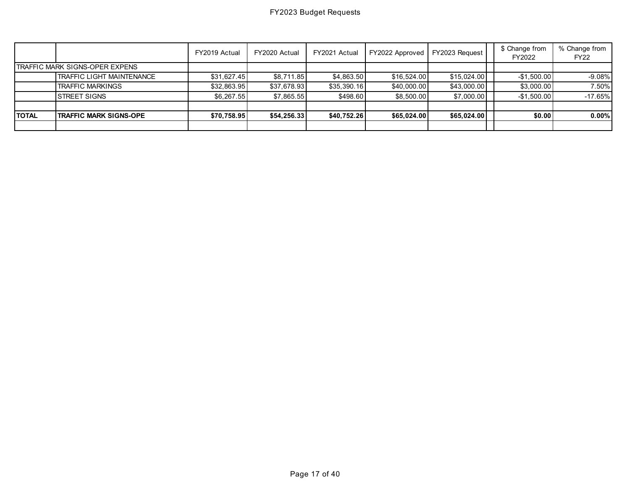|              |                                        | FY2019 Actual | FY2020 Actual | FY2021 Actual | FY2022 Approved | FY2023 Request | \$ Change from<br>FY2022 | % Change from<br><b>FY22</b> |
|--------------|----------------------------------------|---------------|---------------|---------------|-----------------|----------------|--------------------------|------------------------------|
|              | <b>ITRAFFIC MARK SIGNS-OPER EXPENS</b> |               |               |               |                 |                |                          |                              |
|              | TRAFFIC LIGHT MAINTENANCE              | \$31,627.45   | \$8,711.85    | \$4,863.50    | \$16,524.00     | \$15,024.00    | $-$1,500.00$             | $-9.08\%$                    |
|              | <b>TRAFFIC MARKINGS</b>                | \$32,863.95   | \$37,678.93   | \$35,390.16   | \$40,000.00     | \$43,000.00    | \$3,000.00               | 7.50%                        |
|              | <b>STREET SIGNS</b>                    | \$6,267.55    | \$7,865.55    | \$498.60      | \$8,500.00      | \$7,000.00     | $-$1,500.00$             | $-17.65%$                    |
|              |                                        |               |               |               |                 |                |                          |                              |
| <b>TOTAL</b> | <b>TRAFFIC MARK SIGNS-OPE</b>          | \$70,758.95   | \$54,256.33   | \$40,752.26   | \$65,024.00     | \$65,024.00    | \$0.00                   | 0.00%                        |
|              |                                        |               |               |               |                 |                |                          |                              |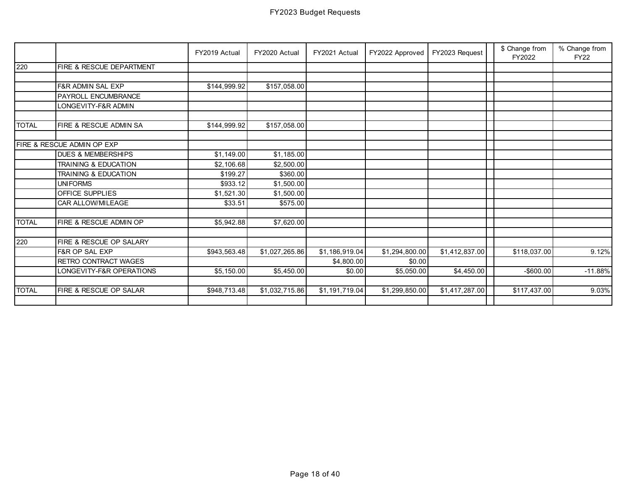|              |                                       | FY2019 Actual | FY2020 Actual  | FY2021 Actual  | FY2022 Approved | FY2023 Request | \$ Change from<br>FY2022 | % Change from<br><b>FY22</b> |
|--------------|---------------------------------------|---------------|----------------|----------------|-----------------|----------------|--------------------------|------------------------------|
| 220          | FIRE & RESCUE DEPARTMENT              |               |                |                |                 |                |                          |                              |
|              |                                       |               |                |                |                 |                |                          |                              |
|              | F&R ADMIN SAL EXP                     | \$144,999.92  | \$157,058.00   |                |                 |                |                          |                              |
|              | PAYROLL ENCUMBRANCE                   |               |                |                |                 |                |                          |                              |
|              | LONGEVITY-F&R ADMIN                   |               |                |                |                 |                |                          |                              |
|              |                                       |               |                |                |                 |                |                          |                              |
| <b>TOTAL</b> | FIRE & RESCUE ADMIN SA                | \$144,999.92  | \$157,058.00   |                |                 |                |                          |                              |
|              |                                       |               |                |                |                 |                |                          |                              |
|              | <b>FIRE &amp; RESCUE ADMIN OP EXP</b> |               |                |                |                 |                |                          |                              |
|              | <b>DUES &amp; MEMBERSHIPS</b>         | \$1,149.00    | \$1,185.00     |                |                 |                |                          |                              |
|              | <b>TRAINING &amp; EDUCATION</b>       | \$2,106.68    | \$2,500.00     |                |                 |                |                          |                              |
|              | <b>TRAINING &amp; EDUCATION</b>       | \$199.27      | \$360.00       |                |                 |                |                          |                              |
|              | <b>UNIFORMS</b>                       | \$933.12      | \$1,500.00     |                |                 |                |                          |                              |
|              | OFFICE SUPPLIES                       | \$1,521.30    | \$1,500.00     |                |                 |                |                          |                              |
|              | CAR ALLOW/MILEAGE                     | \$33.51       | \$575.00       |                |                 |                |                          |                              |
| <b>TOTAL</b> | FIRE & RESCUE ADMIN OP                | \$5,942.88    | \$7,620.00     |                |                 |                |                          |                              |
|              |                                       |               |                |                |                 |                |                          |                              |
| 220          | FIRE & RESCUE OP SALARY               |               |                |                |                 |                |                          |                              |
|              | F&R OP SAL EXP                        | \$943,563.48  | \$1,027,265.86 | \$1,186,919.04 | \$1,294,800.00  | \$1,412,837.00 | \$118,037.00             | 9.12%                        |
|              | RETRO CONTRACT WAGES                  |               |                | \$4,800.00     | \$0.00          |                |                          |                              |
|              | LONGEVITY-F&R OPERATIONS              | \$5,150.00    | \$5,450.00     | \$0.00         | \$5,050.00      | \$4,450.00     | $-$600.00$               | $-11.88%$                    |
| <b>TOTAL</b> | FIRE & RESCUE OP SALAR                | \$948,713.48  | \$1,032,715.86 | \$1,191,719.04 | \$1,299,850.00  | \$1,417,287.00 | \$117,437.00             | 9.03%                        |
|              |                                       |               |                |                |                 |                |                          |                              |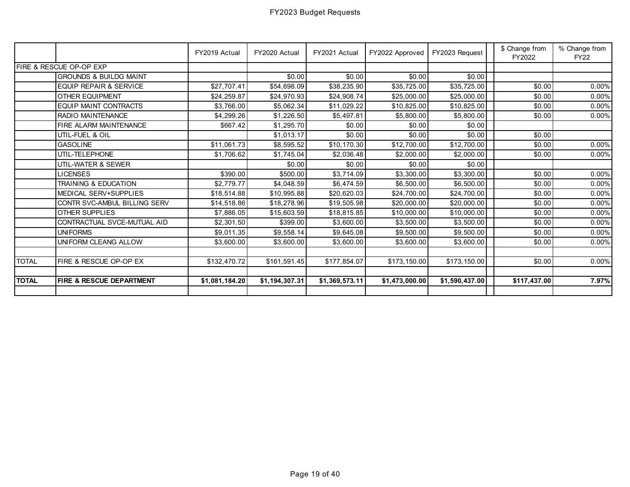|              |                                     | FY2019 Actual  | FY2020 Actual  | FY2021 Actual  | FY2022 Approved | FY2023 Request | \$ Change from<br>FY2022 | % Change from<br><b>FY22</b> |
|--------------|-------------------------------------|----------------|----------------|----------------|-----------------|----------------|--------------------------|------------------------------|
|              | <b>FIRE &amp; RESCUE OP-OP EXP</b>  |                |                |                |                 |                |                          |                              |
|              | <b>GROUNDS &amp; BUILDG MAINT</b>   |                | \$0.00         | \$0.00         | \$0.00          | \$0.00         |                          |                              |
|              | <b>EQUIP REPAIR &amp; SERVICE</b>   | \$27,707.41    | \$54,698.09    | \$38,235.90    | \$35,725.00     | \$35,725.00    | \$0.00                   | 0.00%                        |
|              | OTHER EQUIPMENT                     | \$24,259.87    | \$24,970.93    | \$24,908.74    | \$25,000.00     | \$25,000.00    | \$0.00                   | 0.00%                        |
|              | EQUIP MAINT CONTRACTS               | \$3,766.00     | \$5,062.34     | \$11,029.22    | \$10,825.00     | \$10,825.00    | \$0.00                   | $0.00\%$                     |
|              | RADIO MAINTENANCE                   | \$4,299.26     | \$1,226.50     | \$5,497.81     | \$5,800.00      | \$5,800.00     | \$0.00                   | 0.00%                        |
|              | FIRE ALARM MAINTENANCE              | \$667.42       | \$1,295.70     | \$0.00         | \$0.00          | \$0.00         |                          |                              |
|              | UTIL-FUEL & OIL                     |                | \$1,013.17     | \$0.00         | \$0.00          | \$0.00         | \$0.00                   |                              |
|              | <b>GASOLINE</b>                     | \$11,061.73    | \$8,595.52     | \$10,170.30    | \$12,700.00     | \$12,700.00    | \$0.00                   | $0.00\%$                     |
|              | UTIL-TELEPHONE                      | \$1,706.62     | \$1,745.04     | \$2,036.48     | \$2,000.00      | \$2,000.00     | \$0.00                   | 0.00%                        |
|              | UTIL-WATER & SEWER                  |                | \$0.00         | \$0.00         | \$0.00          | \$0.00         |                          |                              |
|              | <b>LICENSES</b>                     | \$390.00       | \$500.00       | \$3,714.09     | \$3,300.00      | \$3,300.00     | \$0.00                   | $0.00\%$                     |
|              | <b>TRAINING &amp; EDUCATION</b>     | \$2,779.77     | \$4,048.59     | \$6,474.59     | \$6,500.00      | \$6,500.00     | \$0.00                   | 0.00%                        |
|              | <b>MEDICAL SERV+SUPPLIES</b>        | \$18,514.88    | \$10,995.88    | \$20,620.03    | \$24,700.00     | \$24,700.00    | \$0.00                   | $0.00\%$                     |
|              | CONTR SVC-AMBUL BILLING SERV        | \$14,518.86    | \$18,278.96    | \$19,505.98    | \$20,000.00     | \$20,000.00    | \$0.00                   | $0.00\%$                     |
|              | <b>OTHER SUPPLIES</b>               | \$7,886.05     | \$15,603.59    | \$18,815.85    | \$10,000.00     | \$10,000.00    | \$0.00                   | 0.00%                        |
|              | CONTRACTUAL SVCE-MUTUAL AID         | \$2,301.50     | \$399.00       | \$3,600.00     | \$3,500.00      | \$3,500.00     | \$0.00                   | $0.00\%$                     |
|              | <b>UNIFORMS</b>                     | \$9,011.35     | \$9,558.14     | \$9,645.08     | \$9,500.00      | \$9,500.00     | \$0.00                   | 0.00%                        |
|              | UNIFORM CLEANG ALLOW                | \$3,600.00     | \$3,600.00     | \$3,600.00     | \$3,600.00      | \$3,600.00     | \$0.00                   | 0.00%                        |
|              |                                     |                |                |                |                 |                |                          |                              |
| <b>TOTAL</b> | FIRE & RESCUE OP-OP EX              | \$132,470.72   | \$161,591.45   | \$177,854.07   | \$173,150.00    | \$173,150.00   | \$0.00                   | $0.00\%$                     |
|              |                                     |                |                |                |                 |                |                          |                              |
| <b>TOTAL</b> | <b>FIRE &amp; RESCUE DEPARTMENT</b> | \$1,081,184.20 | \$1,194,307.31 | \$1,369,573.11 | \$1,473,000.00  | \$1,590,437.00 | \$117,437.00             | 7.97%                        |
|              |                                     |                |                |                |                 |                |                          |                              |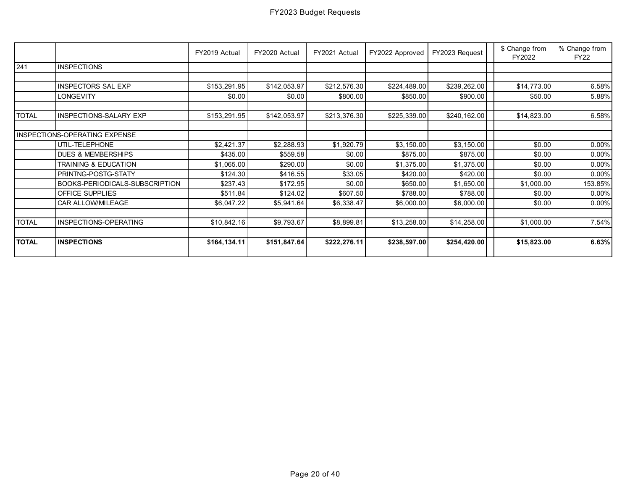|              |                                | FY2019 Actual | FY2020 Actual | FY2021 Actual | FY2022 Approved | FY2023 Request | \$ Change from<br>FY2022 | % Change from<br><b>FY22</b> |
|--------------|--------------------------------|---------------|---------------|---------------|-----------------|----------------|--------------------------|------------------------------|
| 241          | <b>INSPECTIONS</b>             |               |               |               |                 |                |                          |                              |
|              |                                |               |               |               |                 |                |                          |                              |
|              | <b>INSPECTORS SAL EXP</b>      | \$153,291.95  | \$142,053.97  | \$212,576.30  | \$224,489.00    | \$239,262.00   | \$14,773.00              | 6.58%                        |
|              | LONGEVITY                      | \$0.00        | \$0.00        | \$800.00      | \$850.00        | \$900.00       | \$50.00                  | 5.88%                        |
| <b>TOTAL</b> | INSPECTIONS-SALARY EXP         | \$153,291.95  | \$142,053.97  | \$213,376.30  | \$225,339.00    | \$240,162.00   | \$14,823.00              | 6.58%                        |
|              | INSPECTIONS-OPERATING EXPENSE  |               |               |               |                 |                |                          |                              |
|              | UTIL-TELEPHONE                 | \$2,421.37    | \$2,288.93    | \$1,920.79    | \$3,150.00      | \$3,150.00     | \$0.00                   | $0.00\%$                     |
|              | <b>DUES &amp; MEMBERSHIPS</b>  | \$435.00      | \$559.58      | \$0.00        | \$875.00        | \$875.00       | \$0.00                   | $0.00\%$                     |
|              | TRAINING & EDUCATION           | \$1,065.00    | \$290.00      | \$0.00        | \$1,375.00      | \$1,375.00     | \$0.00                   | $0.00\%$                     |
|              | PRINTNG-POSTG-STATY            | \$124.30      | \$416.55      | \$33.05       | \$420.00        | \$420.00       | \$0.00                   | $0.00\%$                     |
|              | BOOKS-PERIODICALS-SUBSCRIPTION | \$237.43      | \$172.95      | \$0.00        | \$650.00        | \$1,650.00     | \$1,000.00               | 153.85%                      |
|              | OFFICE SUPPLIES                | \$511.84      | \$124.02      | \$607.50      | \$788.00        | \$788.00       | \$0.00                   | $0.00\%$                     |
|              | CAR ALLOW/MILEAGE              | \$6,047.22    | \$5,941.64    | \$6,338.47    | \$6,000.00      | \$6,000.00     | \$0.00                   | $0.00\%$                     |
| <b>TOTAL</b> | INSPECTIONS-OPERATING          | \$10,842.16   | \$9,793.67    | \$8,899.81    | \$13,258.00     | \$14,258.00    | \$1,000.00               | 7.54%                        |
| <b>TOTAL</b> | <b>INSPECTIONS</b>             | \$164,134.11  | \$151,847.64  | \$222,276.11  | \$238,597.00    | \$254,420.00   | \$15,823.00              | 6.63%                        |
|              |                                |               |               |               |                 |                |                          |                              |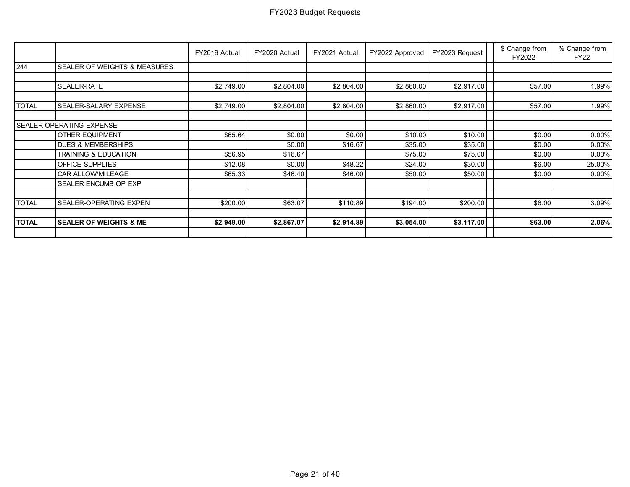|              |                                   | FY2019 Actual | FY2020 Actual | FY2021 Actual | FY2022 Approved | FY2023 Request | \$ Change from<br>FY2022 | % Change from<br><b>FY22</b> |
|--------------|-----------------------------------|---------------|---------------|---------------|-----------------|----------------|--------------------------|------------------------------|
| 244          | SEALER OF WEIGHTS & MEASURES      |               |               |               |                 |                |                          |                              |
|              |                                   |               |               |               |                 |                |                          |                              |
|              | SEALER-RATE                       | \$2,749.00    | \$2,804.00    | \$2,804.00    | \$2,860.00      | \$2,917.00     | \$57.00                  | 1.99%                        |
|              |                                   |               |               |               |                 |                |                          |                              |
| <b>TOTAL</b> | SEALER-SALARY EXPENSE             | \$2,749.00    | \$2,804.00    | \$2,804.00    | \$2,860.00      | \$2,917.00     | \$57.00                  | 1.99%                        |
|              |                                   |               |               |               |                 |                |                          |                              |
|              | SEALER-OPERATING EXPENSE          |               |               |               |                 |                |                          |                              |
|              | <b>OTHER EQUIPMENT</b>            | \$65.64       | \$0.00        | \$0.00        | \$10.00         | \$10.00        | \$0.00                   | $0.00\%$                     |
|              | <b>DUES &amp; MEMBERSHIPS</b>     |               | \$0.00        | \$16.67       | \$35.00         | \$35.00        | \$0.00                   | $0.00\%$                     |
|              | TRAINING & EDUCATION              | \$56.95       | \$16.67       |               | \$75.00         | \$75.00        | \$0.00                   | $0.00\%$                     |
|              | <b>OFFICE SUPPLIES</b>            | \$12.08       | \$0.00        | \$48.22       | \$24.00         | \$30.00        | \$6.00                   | 25.00%                       |
|              | <b>CAR ALLOW/MILEAGE</b>          | \$65.33       | \$46.40       | \$46.00       | \$50.00         | \$50.00        | \$0.00                   | $0.00\%$                     |
|              | <b>SEALER ENCUMB OP EXP</b>       |               |               |               |                 |                |                          |                              |
|              |                                   |               |               |               |                 |                |                          |                              |
| <b>TOTAL</b> | SEALER-OPERATING EXPEN            | \$200.00      | \$63.07       | \$110.89      | \$194.00        | \$200.00       | \$6.00                   | 3.09%                        |
|              |                                   |               |               |               |                 |                |                          |                              |
| <b>TOTAL</b> | <b>SEALER OF WEIGHTS &amp; ME</b> | \$2,949.00    | \$2,867.07    | \$2,914.89    | \$3,054.00      | \$3,117.00     | \$63.00                  | 2.06%                        |
|              |                                   |               |               |               |                 |                |                          |                              |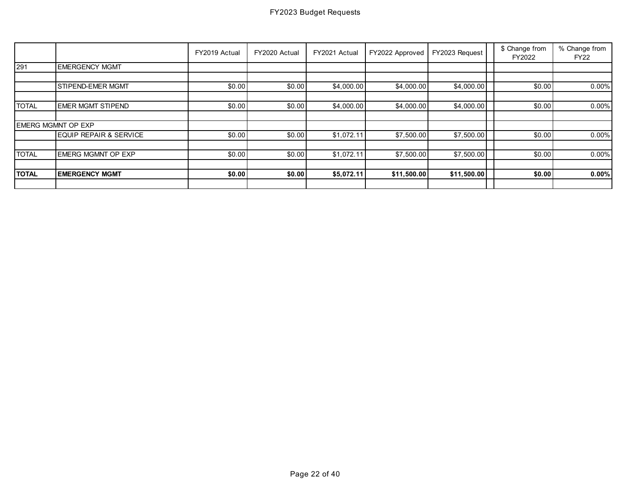|              |                           | FY2019 Actual | FY2020 Actual | FY2021 Actual | FY2022 Approved | FY2023 Request | \$ Change from<br>FY2022 | % Change from<br><b>FY22</b> |
|--------------|---------------------------|---------------|---------------|---------------|-----------------|----------------|--------------------------|------------------------------|
| 291          | <b>EMERGENCY MGMT</b>     |               |               |               |                 |                |                          |                              |
|              |                           |               |               |               |                 |                |                          |                              |
|              | <b>STIPEND-EMER MGMT</b>  | \$0.00        | \$0.00        | \$4,000.00    | \$4,000.00      | \$4,000.00     | \$0.00                   | $0.00\%$                     |
|              |                           |               |               |               |                 |                |                          |                              |
| <b>TOTAL</b> | <b>EMER MGMT STIPEND</b>  | \$0.00        | \$0.00        | \$4,000.00    | \$4,000.00      | \$4,000.00     | \$0.00                   | 0.00%                        |
|              |                           |               |               |               |                 |                |                          |                              |
|              | <b>EMERG MGMNT OP EXP</b> |               |               |               |                 |                |                          |                              |
|              | EQUIP REPAIR & SERVICE    | \$0.00        | \$0.00        | \$1,072.11    | \$7,500.00      | \$7,500.00     | \$0.00                   | 0.00%                        |
|              |                           |               |               |               |                 |                |                          |                              |
| <b>TOTAL</b> | <b>EMERG MGMNT OP EXP</b> | \$0.00        | \$0.00        | \$1,072.11    | \$7,500.00      | \$7,500.00     | \$0.00                   | 0.00%                        |
|              |                           |               |               |               |                 |                |                          |                              |
| <b>TOTAL</b> | <b>EMERGENCY MGMT</b>     | \$0.00        | \$0.00        | \$5,072.11    | \$11,500.00     | \$11,500.00    | \$0.00                   | 0.00%                        |
|              |                           |               |               |               |                 |                |                          |                              |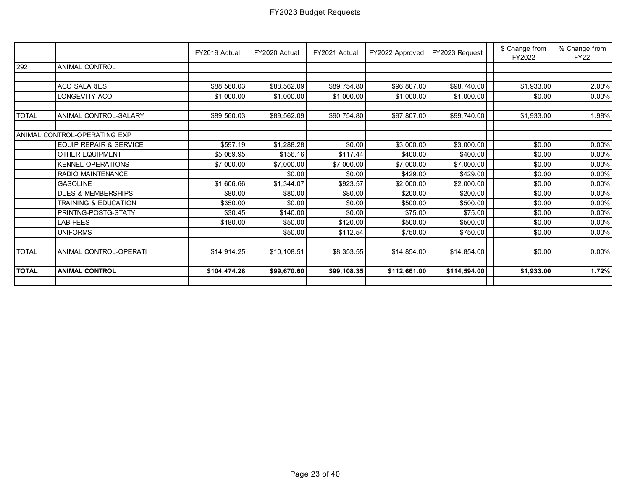|              |                                   | FY2019 Actual | FY2020 Actual | FY2021 Actual | FY2022 Approved | FY2023 Request | \$ Change from<br>FY2022 | % Change from<br><b>FY22</b> |
|--------------|-----------------------------------|---------------|---------------|---------------|-----------------|----------------|--------------------------|------------------------------|
| 292          | <b>ANIMAL CONTROL</b>             |               |               |               |                 |                |                          |                              |
|              |                                   |               |               |               |                 |                |                          |                              |
|              | <b>ACO SALARIES</b>               | \$88,560.03   | \$88,562.09   | \$89,754.80   | \$96,807.00     | \$98,740.00    | \$1,933.00               | 2.00%                        |
|              | LONGEVITY-ACO                     | \$1,000.00    | \$1,000.00    | \$1,000.00    | \$1,000.00      | \$1,000.00     | \$0.00                   | $0.00\%$                     |
| <b>TOTAL</b> | ANIMAL CONTROL-SALARY             | \$89,560.03   | \$89,562.09   | \$90,754.80   | \$97,807.00     | \$99,740.00    | \$1,933.00               | 1.98%                        |
|              |                                   |               |               |               |                 |                |                          |                              |
|              | ANIMAL CONTROL-OPERATING EXP      |               |               |               |                 |                |                          |                              |
|              | <b>EQUIP REPAIR &amp; SERVICE</b> | \$597.19      | \$1,288.28    | \$0.00        | \$3,000.00      | \$3,000.00     | \$0.00                   | 0.00%                        |
|              | OTHER EQUIPMENT                   | \$5,069.95    | \$156.16      | \$117.44      | \$400.00        | \$400.00       | \$0.00                   | $0.00\%$                     |
|              | <b>KENNEL OPERATIONS</b>          | \$7,000.00    | \$7,000.00    | \$7,000.00    | \$7,000.00      | \$7,000.00     | \$0.00                   | 0.00%                        |
|              | RADIO MAINTENANCE                 |               | \$0.00        | \$0.00        | \$429.00        | \$429.00       | \$0.00                   | $0.00\%$                     |
|              | <b>GASOLINE</b>                   | \$1,606.66    | \$1,344.07    | \$923.57      | \$2,000.00      | \$2,000.00     | \$0.00                   | $0.00\%$                     |
|              | <b>DUES &amp; MEMBERSHIPS</b>     | \$80.00       | \$80.00       | \$80.00       | \$200.00        | \$200.00       | \$0.00                   | $0.00\%$                     |
|              | <b>TRAINING &amp; EDUCATION</b>   | \$350.00      | \$0.00        | \$0.00        | \$500.00        | \$500.00       | \$0.00                   | $0.00\%$                     |
|              | PRINTNG-POSTG-STATY               | \$30.45       | \$140.00      | \$0.00        | \$75.00         | \$75.00        | \$0.00                   | $0.00\%$                     |
|              | <b>LAB FEES</b>                   | \$180.00      | \$50.00       | \$120.00      | \$500.00        | \$500.00       | \$0.00                   | 0.00%                        |
|              | <b>UNIFORMS</b>                   |               | \$50.00       | \$112.54      | \$750.00        | \$750.00       | \$0.00                   | $0.00\%$                     |
|              |                                   |               |               |               |                 |                |                          |                              |
| <b>TOTAL</b> | ANIMAL CONTROL-OPERATI            | \$14,914.25   | \$10,108.51   | \$8,353.55    | \$14,854.00     | \$14,854.00    | \$0.00                   | 0.00%                        |
|              |                                   |               |               |               |                 |                |                          |                              |
| <b>TOTAL</b> | <b>ANIMAL CONTROL</b>             | \$104,474.28  | \$99,670.60   | \$99,108.35   | \$112,661.00    | \$114,594.00   | \$1,933.00               | 1.72%                        |
|              |                                   |               |               |               |                 |                |                          |                              |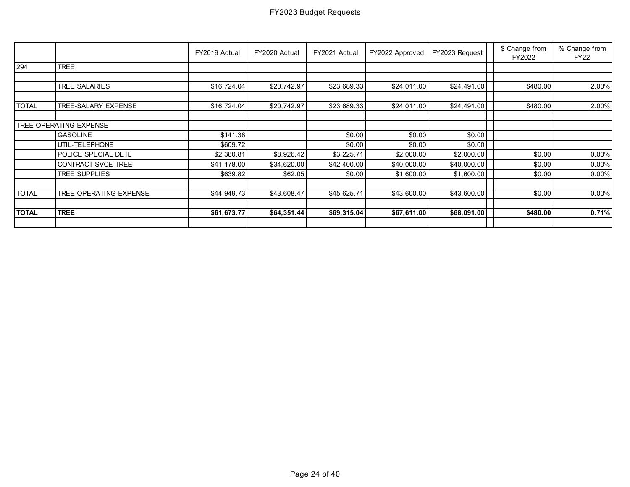|              |                               | FY2019 Actual | FY2020 Actual | FY2021 Actual | FY2022 Approved | FY2023 Request | \$ Change from<br>FY2022 | % Change from<br><b>FY22</b> |
|--------------|-------------------------------|---------------|---------------|---------------|-----------------|----------------|--------------------------|------------------------------|
| 294          | <b>TREE</b>                   |               |               |               |                 |                |                          |                              |
|              |                               |               |               |               |                 |                |                          |                              |
|              | <b>TREE SALARIES</b>          | \$16,724.04   | \$20,742.97   | \$23,689.33   | \$24,011.00     | \$24,491.00    | \$480.00                 | 2.00%                        |
| <b>TOTAL</b> | TREE-SALARY EXPENSE           | \$16,724.04   | \$20,742.97   | \$23,689.33   | \$24,011.00     | \$24,491.00    | \$480.00                 | 2.00%                        |
|              |                               |               |               |               |                 |                |                          |                              |
|              | TREE-OPERATING EXPENSE        |               |               |               |                 |                |                          |                              |
|              | <b>GASOLINE</b>               | \$141.38      |               | \$0.00        | \$0.00          | \$0.00         |                          |                              |
|              | UTIL-TELEPHONE                | \$609.72      |               | \$0.00        | \$0.00          | \$0.00         |                          |                              |
|              | POLICE SPECIAL DETL           | \$2,380.81    | \$8,926.42    | \$3,225.71    | \$2,000.00      | \$2,000.00     | \$0.00                   | 0.00%                        |
|              | CONTRACT SVCE-TREE            | \$41,178.00   | \$34,620.00   | \$42,400.00   | \$40,000.00     | \$40,000.00    | \$0.00                   | $0.00\%$                     |
|              | <b>TREE SUPPLIES</b>          | \$639.82      | \$62.05       | \$0.00        | \$1,600.00      | \$1,600.00     | \$0.00                   | 0.00%                        |
|              |                               |               |               |               |                 |                |                          |                              |
| <b>TOTAL</b> | <b>TREE-OPERATING EXPENSE</b> | \$44,949.73   | \$43,608.47   | \$45,625.71   | \$43,600.00     | \$43,600.00    | \$0.00                   | 0.00%                        |
| <b>TOTAL</b> | <b>TREE</b>                   | \$61,673.77   | \$64,351.44   | \$69,315.04   | \$67,611.00     | \$68,091.00    | \$480.00                 | 0.71%                        |
|              |                               |               |               |               |                 |                |                          |                              |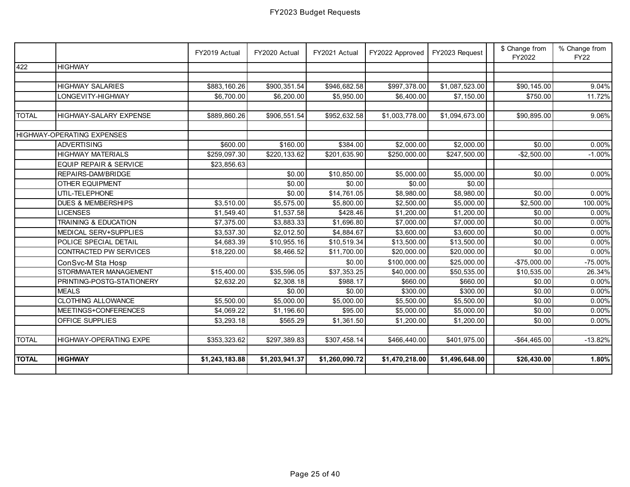|              |                                   | FY2019 Actual  | FY2020 Actual  | FY2021 Actual  | FY2022 Approved | FY2023 Request | \$ Change from<br>FY2022 | % Change from<br><b>FY22</b> |
|--------------|-----------------------------------|----------------|----------------|----------------|-----------------|----------------|--------------------------|------------------------------|
| 422          | <b>HIGHWAY</b>                    |                |                |                |                 |                |                          |                              |
|              |                                   |                |                |                |                 |                |                          |                              |
|              | <b>HIGHWAY SALARIES</b>           | \$883,160.26   | \$900,351.54   | \$946,682.58   | \$997,378.00    | \$1,087,523.00 | $\overline{$90,145.00}$  | 9.04%                        |
|              | LONGEVITY-HIGHWAY                 | \$6,700.00     | \$6,200.00     | \$5,950.00     | \$6,400.00      | \$7,150.00     | \$750.00                 | 11.72%                       |
|              |                                   |                |                |                |                 |                |                          |                              |
| <b>TOTAL</b> | HIGHWAY-SALARY EXPENSE            | \$889,860.26   | \$906,551.54   | \$952,632.58   | \$1,003,778.00  | \$1,094,673.00 | \$90,895.00              | 9.06%                        |
|              |                                   |                |                |                |                 |                |                          |                              |
|              | HIGHWAY-OPERATING EXPENSES        |                |                |                |                 |                |                          |                              |
|              | <b>ADVERTISING</b>                | \$600.00       | \$160.00       | \$384.00       | \$2,000.00      | \$2,000.00     | \$0.00                   | 0.00%                        |
|              | <b>HIGHWAY MATERIALS</b>          | \$259,097.30   | \$220,133.62   | \$201,635.90   | \$250,000.00    | \$247,500.00   | $-$2,500.00$             | $-1.00%$                     |
|              | <b>EQUIP REPAIR &amp; SERVICE</b> | \$23,856.63    |                |                |                 |                |                          |                              |
|              | REPAIRS-DAM/BRIDGE                |                | \$0.00         | \$10,850.00    | \$5,000.00      | \$5,000.00     | \$0.00                   | 0.00%                        |
|              | <b>OTHER EQUIPMENT</b>            |                | \$0.00         | \$0.00         | \$0.00          | \$0.00         |                          |                              |
|              | UTIL-TELEPHONE                    |                | \$0.00         | \$14,761.05    | \$8,980.00      | \$8,980.00     | \$0.00                   | 0.00%                        |
|              | <b>DUES &amp; MEMBERSHIPS</b>     | \$3,510.00     | \$5,575.00     | \$5,800.00     | \$2,500.00      | \$5,000.00     | \$2,500.00               | 100.00%                      |
|              | <b>LICENSES</b>                   | \$1,549.40     | \$1,537.58     | \$428.46       | \$1,200.00      | \$1,200.00     | \$0.00                   | 0.00%                        |
|              | TRAINING & EDUCATION              | \$7,375.00     | \$3,883.33     | \$1,696.80     | \$7,000.00      | \$7,000.00     | \$0.00                   | 0.00%                        |
|              | MEDICAL SERV+SUPPLIES             | \$3,537.30     | \$2,012.50     | \$4,884.67     | \$3,600.00      | \$3,600.00     | \$0.00                   | 0.00%                        |
|              | POLICE SPECIAL DETAIL             | \$4,683.39     | \$10,955.16    | \$10,519.34    | \$13,500.00     | \$13,500.00    | \$0.00                   | 0.00%                        |
|              | CONTRACTED PW SERVICES            | \$18,220.00    | \$8,466.52     | \$11,700.00    | \$20,000.00     | \$20,000.00    | \$0.00                   | 0.00%                        |
|              | ConSvc-M Sta Hosp                 |                |                | \$0.00         | \$100,000.00    | \$25,000.00    | $-$75,000.00$            | $-75.00\%$                   |
|              | STORMWATER MANAGEMENT             | \$15,400.00    | \$35,596.05    | \$37,353.25    | \$40,000.00     | \$50,535.00    | \$10,535.00              | 26.34%                       |
|              | PRINTING-POSTG-STATIONERY         | \$2,632.20     | \$2,308.18     | \$988.17       | \$660.00        | \$660.00       | \$0.00                   | 0.00%                        |
|              | <b>MEALS</b>                      |                | \$0.00         | \$0.00         | \$300.00        | \$300.00       | \$0.00                   | 0.00%                        |
|              | <b>CLOTHING ALLOWANCE</b>         | \$5,500.00     | \$5,000.00     | \$5,000.00     | \$5,500.00      | \$5,500.00     | \$0.00                   | 0.00%                        |
|              | MEETINGS+CONFERENCES              | \$4,069.22     | \$1,196.60     | \$95.00        | \$5,000.00      | \$5,000.00     | \$0.00                   | 0.00%                        |
|              | <b>OFFICE SUPPLIES</b>            | \$3,293.18     | \$565.29       | \$1,361.50     | \$1,200.00      | \$1,200.00     | \$0.00                   | 0.00%                        |
|              |                                   |                |                |                |                 |                |                          |                              |
| <b>TOTAL</b> | HIGHWAY-OPERATING EXPE            | \$353,323.62   | \$297,389.83   | \$307,458.14   | \$466,440.00    | \$401,975.00   | $-$64,465.00$            | $-13.82%$                    |
|              |                                   |                |                |                |                 |                |                          |                              |
| <b>TOTAL</b> | <b>HIGHWAY</b>                    | \$1,243,183.88 | \$1,203,941.37 | \$1,260,090.72 | \$1,470,218.00  | \$1,496,648.00 | \$26,430.00              | 1.80%                        |
|              |                                   |                |                |                |                 |                |                          |                              |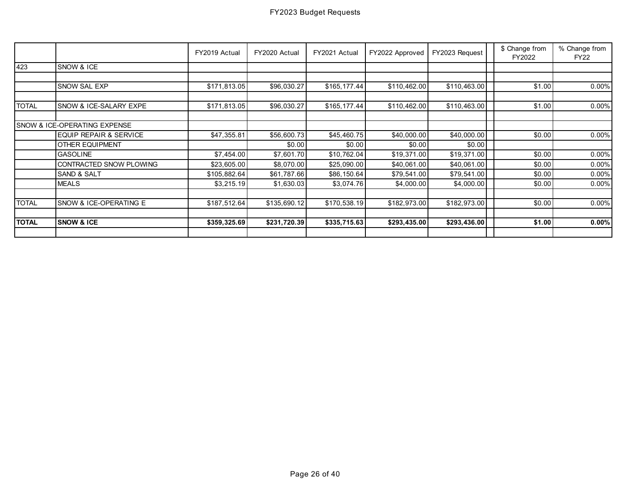|              |                                         | FY2019 Actual | FY2020 Actual | FY2021 Actual | FY2022 Approved | FY2023 Request | \$ Change from<br>FY2022 | % Change from<br><b>FY22</b> |
|--------------|-----------------------------------------|---------------|---------------|---------------|-----------------|----------------|--------------------------|------------------------------|
| 423          | SNOW & ICE                              |               |               |               |                 |                |                          |                              |
|              |                                         |               |               |               |                 |                |                          |                              |
|              | SNOW SAL EXP                            | \$171,813.05  | \$96,030.27   | \$165,177.44  | \$110,462.00    | \$110,463.00   | \$1.00                   | 0.00%                        |
|              |                                         |               |               |               |                 |                |                          |                              |
| <b>TOTAL</b> | SNOW & ICE-SALARY EXPE                  | \$171,813.05  | \$96,030.27   | \$165,177.44  | \$110,462.00    | \$110,463.00   | \$1.00                   | 0.00%                        |
|              | <b>SNOW &amp; ICE-OPERATING EXPENSE</b> |               |               |               |                 |                |                          |                              |
|              | <b>EQUIP REPAIR &amp; SERVICE</b>       | \$47,355.81   | \$56,600.73   | \$45,460.75   | \$40,000.00     | \$40,000.00    | \$0.00                   | $0.00\%$                     |
|              | <b>OTHER EQUIPMENT</b>                  |               | \$0.00        | \$0.00        | \$0.00          | \$0.00         |                          |                              |
|              | <b>GASOLINE</b>                         | \$7,454.00    | \$7,601.70    | \$10,762.04   | \$19,371.00     | \$19,371.00    | \$0.00                   | 0.00%                        |
|              | CONTRACTED SNOW PLOWING                 | \$23,605.00   | \$8,070.00    | \$25,090.00   | \$40,061.00     | \$40,061.00    | \$0.00                   | $0.00\%$                     |
|              | <b>SAND &amp; SALT</b>                  | \$105,882.64  | \$61,787.66   | \$86,150.64   | \$79,541.00     | \$79,541.00    | \$0.00                   | $0.00\%$                     |
|              | <b>MEALS</b>                            | \$3,215.19    | \$1,630.03    | \$3,074.76    | \$4,000.00      | \$4,000.00     | \$0.00                   | $0.00\%$                     |
|              | SNOW & ICE-OPERATING E                  |               |               |               |                 |                |                          |                              |
| <b>TOTAL</b> |                                         | \$187,512.64  | \$135,690.12  | \$170,538.19  | \$182,973.00    | \$182,973.00   | \$0.00                   | $0.00\%$                     |
| <b>TOTAL</b> | <b>SNOW &amp; ICE</b>                   | \$359,325.69  | \$231,720.39  | \$335,715.63  | \$293,435.00    | \$293,436.00   | \$1.00                   | 0.00%                        |
|              |                                         |               |               |               |                 |                |                          |                              |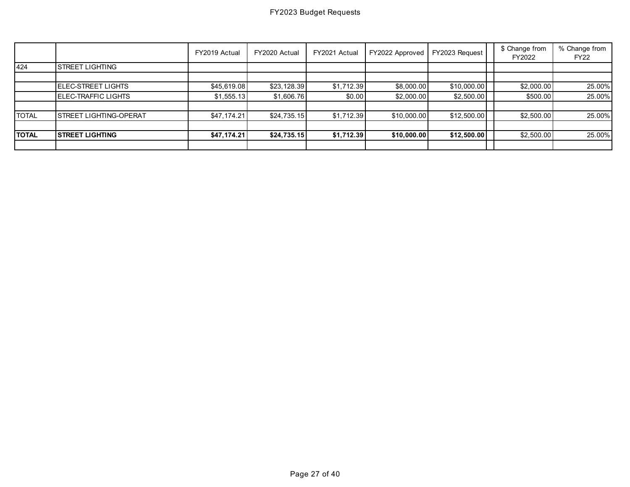|              |                               | FY2019 Actual | FY2020 Actual | FY2021 Actual | FY2022 Approved | FY2023 Request | \$ Change from<br>FY2022 | % Change from<br><b>FY22</b> |
|--------------|-------------------------------|---------------|---------------|---------------|-----------------|----------------|--------------------------|------------------------------|
| 424          | ISTREET LIGHTING              |               |               |               |                 |                |                          |                              |
|              |                               |               |               |               |                 |                |                          |                              |
|              | <b>IELEC-STREET LIGHTS</b>    | \$45,619.08   | \$23,128.39   | \$1,712.39    | \$8,000.00      | \$10,000.00    | \$2,000.00               | 25.00%                       |
|              | <b>I</b> ELEC-TRAFFIC LIGHTS  | \$1,555.13    | \$1,606.76    | \$0.00        | \$2,000.00      | \$2,500.00     | \$500.00                 | 25.00%                       |
|              |                               |               |               |               |                 |                |                          |                              |
| <b>TOTAL</b> | <b>STREET LIGHTING-OPERAT</b> | \$47,174.21   | \$24,735.15   | \$1,712.39    | \$10,000.00     | \$12,500.00    | \$2,500.00               | 25.00%                       |
|              |                               |               |               |               |                 |                |                          |                              |
| <b>TOTAL</b> | <b>STREET LIGHTING</b>        | \$47,174.21   | \$24,735.15   | \$1,712.39    | \$10,000.00     | \$12,500.00    | \$2,500.00               | 25.00%                       |
|              |                               |               |               |               |                 |                |                          |                              |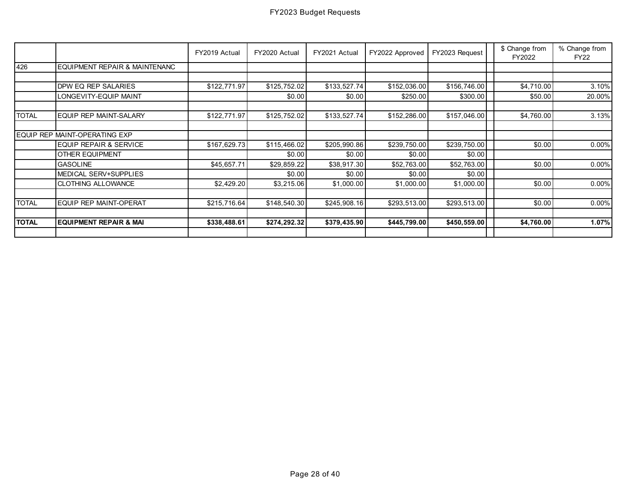|              |                                   | FY2019 Actual | FY2020 Actual | FY2021 Actual | FY2022 Approved | FY2023 Request | \$ Change from<br>FY2022 | % Change from<br><b>FY22</b> |
|--------------|-----------------------------------|---------------|---------------|---------------|-----------------|----------------|--------------------------|------------------------------|
| 426          | EQUIPMENT REPAIR & MAINTENANC     |               |               |               |                 |                |                          |                              |
|              |                                   |               |               |               |                 |                |                          |                              |
|              | DPW EQ REP SALARIES               | \$122,771.97  | \$125,752.02  | \$133,527.74  | \$152,036.00    | \$156,746.00   | \$4,710.00               | 3.10%                        |
|              | LONGEVITY-EQUIP MAINT             |               | \$0.00        | \$0.00        | \$250.00        | \$300.00       | \$50.00                  | 20.00%                       |
|              |                                   |               |               |               |                 |                |                          |                              |
| <b>TOTAL</b> | <b>EQUIP REP MAINT-SALARY</b>     | \$122,771.97  | \$125,752.02  | \$133,527.74  | \$152,286.00    | \$157,046.00   | \$4,760.00               | 3.13%                        |
|              |                                   |               |               |               |                 |                |                          |                              |
|              | EQUIP REP MAINT-OPERATING EXP     |               |               |               |                 |                |                          |                              |
|              | <b>EQUIP REPAIR &amp; SERVICE</b> | \$167,629.73  | \$115,466.02  | \$205,990.86  | \$239,750.00    | \$239,750.00   | \$0.00                   | 0.00%                        |
|              | <b>OTHER EQUIPMENT</b>            |               | \$0.00        | \$0.00        | \$0.00          | \$0.00         |                          |                              |
|              | <b>GASOLINE</b>                   | \$45,657.71   | \$29,859.22   | \$38,917.30   | \$52,763.00     | \$52,763.00    | \$0.00                   | 0.00%                        |
|              | <b>MEDICAL SERV+SUPPLIES</b>      |               | \$0.00        | \$0.00        | \$0.00          | \$0.00         |                          |                              |
|              | <b>CLOTHING ALLOWANCE</b>         | \$2,429.20    | \$3,215.06    | \$1,000.00    | \$1,000.00      | \$1,000.00     | \$0.00                   | 0.00%                        |
|              |                                   |               |               |               |                 |                |                          |                              |
| <b>TOTAL</b> | EQUIP REP MAINT-OPERAT            | \$215,716.64  | \$148,540.30  | \$245,908.16  | \$293,513.00    | \$293,513.00   | \$0.00                   | $0.00\%$                     |
|              |                                   |               |               |               |                 |                |                          |                              |
| <b>TOTAL</b> | <b>EQUIPMENT REPAIR &amp; MAI</b> | \$338,488.61  | \$274,292.32  | \$379,435.90  | \$445,799.00    | \$450,559.00   | \$4,760.00               | 1.07%                        |
|              |                                   |               |               |               |                 |                |                          |                              |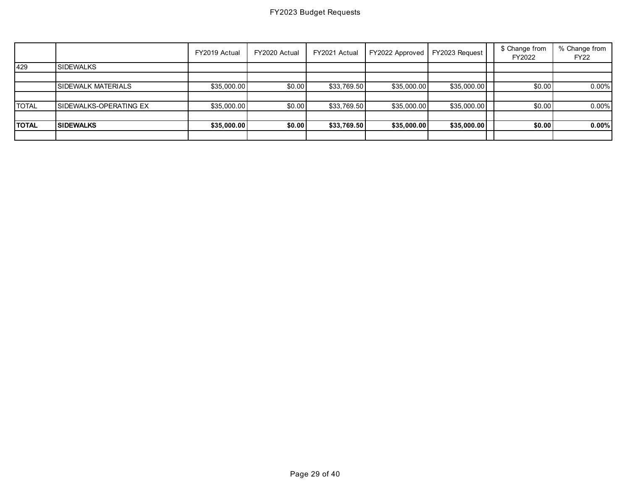|              |                           | FY2019 Actual | FY2020 Actual | FY2021 Actual | FY2022 Approved | FY2023 Request | \$ Change from<br>FY2022 | % Change from<br><b>FY22</b> |
|--------------|---------------------------|---------------|---------------|---------------|-----------------|----------------|--------------------------|------------------------------|
| 429          | <b>SIDEWALKS</b>          |               |               |               |                 |                |                          |                              |
|              |                           |               |               |               |                 |                |                          |                              |
|              | <b>SIDEWALK MATERIALS</b> | \$35,000.00   | \$0.00        | \$33,769.50   | \$35,000.00     | \$35,000.00    | \$0.00                   | $0.00\%$                     |
|              |                           |               |               |               |                 |                |                          |                              |
| <b>TOTAL</b> | SIDEWALKS-OPERATING EX    | \$35,000.00   | \$0.00        | \$33,769.50   | \$35,000.00     | \$35,000.00    | \$0.00                   | $0.00\%$                     |
|              |                           |               |               |               |                 |                |                          |                              |
| <b>TOTAL</b> | <b>SIDEWALKS</b>          | \$35,000.00   | \$0.00        | \$33,769.50   | \$35,000.00     | \$35,000.00    | \$0.00                   | $0.00\%$                     |
|              |                           |               |               |               |                 |                |                          |                              |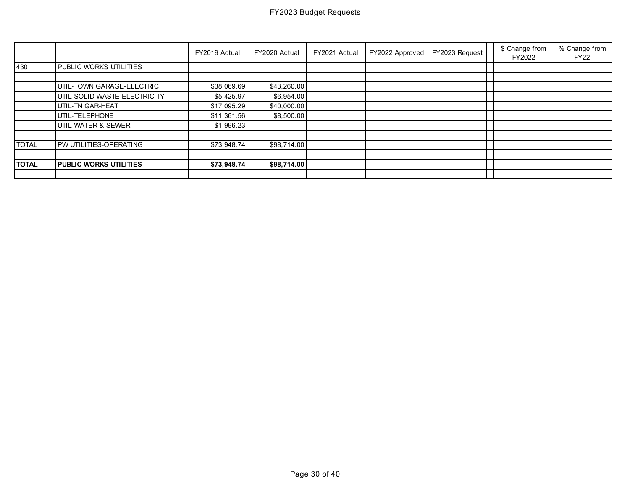|              |                               | FY2019 Actual | FY2020 Actual | FY2021 Actual | FY2022 Approved | FY2023 Request | \$ Change from<br>FY2022 | % Change from<br><b>FY22</b> |
|--------------|-------------------------------|---------------|---------------|---------------|-----------------|----------------|--------------------------|------------------------------|
| 430          | PUBLIC WORKS UTILITIES        |               |               |               |                 |                |                          |                              |
|              |                               |               |               |               |                 |                |                          |                              |
|              | UTIL-TOWN GARAGE-ELECTRIC     | \$38,069.69   | \$43,260.00   |               |                 |                |                          |                              |
|              | UTIL-SOLID WASTE ELECTRICITY  | \$5,425.97    | \$6,954.00    |               |                 |                |                          |                              |
|              | UTIL-TN GAR-HEAT              | \$17,095.29   | \$40,000.00   |               |                 |                |                          |                              |
|              | UTIL-TELEPHONE                | \$11,361.56   | \$8,500.00    |               |                 |                |                          |                              |
|              | UTIL-WATER & SEWER            | \$1,996.23    |               |               |                 |                |                          |                              |
|              |                               |               |               |               |                 |                |                          |                              |
| <b>TOTAL</b> | PW UTILITIES-OPERATING        | \$73,948.74   | \$98,714.00   |               |                 |                |                          |                              |
|              |                               |               |               |               |                 |                |                          |                              |
| <b>TOTAL</b> | <b>PUBLIC WORKS UTILITIES</b> | \$73,948.74   | \$98,714.00   |               |                 |                |                          |                              |
|              |                               |               |               |               |                 |                |                          |                              |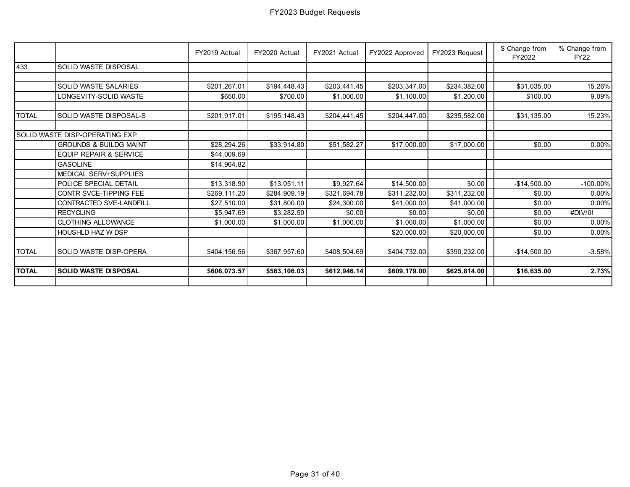|              |                                   | FY2019 Actual | FY2020 Actual | FY2021 Actual | FY2022 Approved | FY2023 Request | \$ Change from<br>FY2022 | % Change from<br><b>FY22</b> |
|--------------|-----------------------------------|---------------|---------------|---------------|-----------------|----------------|--------------------------|------------------------------|
| 433          | SOLID WASTE DISPOSAL              |               |               |               |                 |                |                          |                              |
|              |                                   |               |               |               |                 |                |                          |                              |
|              | SOLID WASTE SALARIES              | \$201,267.01  | \$194,448.43  | \$203,441.45  | \$203,347.00    | \$234,382.00   | \$31,035.00              | 15.26%                       |
|              | LONGEVITY-SOLID WASTE             | \$650.00      | \$700.00      | \$1,000.00    | \$1,100.00      | \$1,200.00     | \$100.00                 | 9.09%                        |
|              |                                   |               |               |               |                 |                |                          |                              |
| <b>TOTAL</b> | SOLID WASTE DISPOSAL-S            | \$201,917.01  | \$195,148.43  | \$204,441.45  | \$204,447.00    | \$235,582.00   | \$31,135.00              | 15.23%                       |
|              |                                   |               |               |               |                 |                |                          |                              |
|              | SOLID WASTE DISP-OPERATING EXP    |               |               |               |                 |                |                          |                              |
|              | <b>GROUNDS &amp; BUILDG MAINT</b> | \$28,294.26   | \$33,914.80   | \$51,582.27   | \$17,000.00     | \$17,000.00    | \$0.00                   | 0.00%                        |
|              | EQUIP REPAIR & SERVICE            | \$44,009.69   |               |               |                 |                |                          |                              |
|              | <b>GASOLINE</b>                   | \$14,964.82   |               |               |                 |                |                          |                              |
|              | MEDICAL SERV+SUPPLIES             |               |               |               |                 |                |                          |                              |
|              | POLICE SPECIAL DETAIL             | \$13,318.90   | \$13,051.11   | \$9,927.64    | \$14,500.00     | \$0.00         | $-$14,500.00$            | $-100.00\%$                  |
|              | CONTR SVCE-TIPPING FEE            | \$269,111.20  | \$284,909.19  | \$321,694.78  | \$311,232.00    | \$311,232.00   | \$0.00                   | 0.00%                        |
|              | CONTRACTED SVE-LANDFILL           | \$27,510.00   | \$31,800.00   | \$24,300.00   | \$41,000.00     | \$41,000.00    | \$0.00                   | 0.00%                        |
|              | <b>RECYCLING</b>                  | \$5,947.69    | \$3,282.50    | \$0.00        | \$0.00          | \$0.00         | \$0.00                   | #DIV/0!                      |
|              | <b>CLOTHING ALLOWANCE</b>         | \$1,000.00    | \$1,000.00    | \$1,000.00    | \$1,000.00      | \$1,000.00     | \$0.00                   | $0.00\%$                     |
|              | <b>HOUSHLD HAZ W DSP</b>          |               |               |               | \$20,000.00     | \$20,000.00    | \$0.00                   | 0.00%                        |
|              |                                   |               |               |               |                 |                |                          |                              |
| <b>TOTAL</b> | SOLID WASTE DISP-OPERA            | \$404,156.56  | \$367,957.60  | \$408,504.69  | \$404,732.00    | \$390,232.00   | $-$14,500.00$            | $-3.58%$                     |
|              |                                   |               |               |               |                 |                |                          |                              |
| <b>TOTAL</b> | <b>SOLID WASTE DISPOSAL</b>       | \$606,073.57  | \$563,106.03  | \$612,946.14  | \$609,179.00    | \$625,814.00   | \$16,635.00              | 2.73%                        |
|              |                                   |               |               |               |                 |                |                          |                              |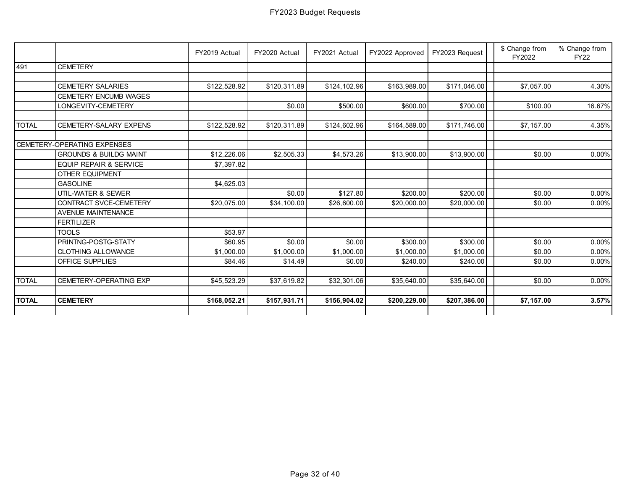|              |                                   | FY2019 Actual | FY2020 Actual | FY2021 Actual | FY2022 Approved | FY2023 Request | \$ Change from<br>FY2022 | % Change from<br><b>FY22</b> |
|--------------|-----------------------------------|---------------|---------------|---------------|-----------------|----------------|--------------------------|------------------------------|
| 491          | <b>CEMETERY</b>                   |               |               |               |                 |                |                          |                              |
|              |                                   |               |               |               |                 |                |                          |                              |
|              | <b>CEMETERY SALARIES</b>          | \$122,528.92  | \$120,311.89  | \$124,102.96  | \$163,989.00    | \$171,046.00   | \$7,057.00               | 4.30%                        |
|              | <b>CEMETERY ENCUMB WAGES</b>      |               |               |               |                 |                |                          |                              |
|              | LONGEVITY-CEMETERY                |               | \$0.00        | \$500.00      | \$600.00        | \$700.00       | \$100.00                 | 16.67%                       |
| <b>TOTAL</b> | <b>CEMETERY-SALARY EXPENS</b>     | \$122,528.92  | \$120,311.89  | \$124,602.96  | \$164,589.00    | \$171,746.00   | \$7,157.00               | 4.35%                        |
|              |                                   |               |               |               |                 |                |                          |                              |
|              | CEMETERY-OPERATING EXPENSES       |               |               |               |                 |                |                          |                              |
|              | <b>GROUNDS &amp; BUILDG MAINT</b> | \$12,226.06   | \$2,505.33    | \$4,573.26    | \$13,900.00     | \$13,900.00    | \$0.00                   | 0.00%                        |
|              | <b>EQUIP REPAIR &amp; SERVICE</b> | \$7,397.82    |               |               |                 |                |                          |                              |
|              | <b>OTHER EQUIPMENT</b>            |               |               |               |                 |                |                          |                              |
|              | <b>GASOLINE</b>                   | \$4,625.03    |               |               |                 |                |                          |                              |
|              | UTIL-WATER & SEWER                |               | \$0.00        | \$127.80      | \$200.00        | \$200.00       | \$0.00                   | 0.00%                        |
|              | CONTRACT SVCE-CEMETERY            | \$20,075.00   | \$34,100.00   | \$26,600.00   | \$20,000.00     | \$20,000.00    | \$0.00                   | 0.00%                        |
|              | <b>AVENUE MAINTENANCE</b>         |               |               |               |                 |                |                          |                              |
|              | <b>FERTILIZER</b>                 |               |               |               |                 |                |                          |                              |
|              | <b>TOOLS</b>                      | \$53.97       |               |               |                 |                |                          |                              |
|              | PRINTNG-POSTG-STATY               | \$60.95       | \$0.00        | \$0.00        | \$300.00        | \$300.00       | \$0.00                   | 0.00%                        |
|              | <b>CLOTHING ALLOWANCE</b>         | \$1,000.00    | \$1,000.00    | \$1,000.00    | \$1,000.00      | \$1,000.00     | \$0.00                   | $0.00\%$                     |
|              | OFFICE SUPPLIES                   | \$84.46       | \$14.49       | \$0.00        | \$240.00        | \$240.00       | \$0.00                   | 0.00%                        |
|              |                                   |               |               |               |                 |                |                          |                              |
| <b>TOTAL</b> | CEMETERY-OPERATING EXP            | \$45,523.29   | \$37,619.82   | \$32,301.06   | \$35,640.00     | \$35,640.00    | \$0.00                   | 0.00%                        |
| <b>TOTAL</b> | <b>CEMETERY</b>                   | \$168,052.21  | \$157,931.71  | \$156,904.02  | \$200,229.00    | \$207,386.00   | \$7,157.00               | 3.57%                        |
|              |                                   |               |               |               |                 |                |                          |                              |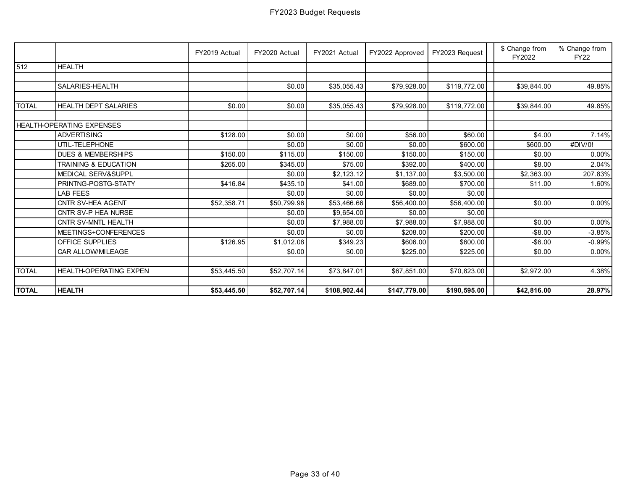|              |                                 | FY2019 Actual | FY2020 Actual | FY2021 Actual | FY2022 Approved | FY2023 Request | \$ Change from<br>FY2022 | % Change from<br><b>FY22</b> |
|--------------|---------------------------------|---------------|---------------|---------------|-----------------|----------------|--------------------------|------------------------------|
| 512          | <b>HEALTH</b>                   |               |               |               |                 |                |                          |                              |
|              |                                 |               |               |               |                 |                |                          |                              |
|              | SALARIES-HEALTH                 |               | \$0.00        | \$35,055.43   | \$79,928.00     | \$119,772.00   | \$39,844.00              | 49.85%                       |
| <b>TOTAL</b> | <b>HEALTH DEPT SALARIES</b>     | \$0.00        | \$0.00        | \$35,055.43   | \$79,928.00     | \$119,772.00   | \$39,844.00              | 49.85%                       |
|              | HEALTH-OPERATING EXPENSES       |               |               |               |                 |                |                          |                              |
|              | <b>ADVERTISING</b>              | \$128.00      | \$0.00        | \$0.00        | \$56.00         | \$60.00        | \$4.00                   | 7.14%                        |
|              | UTIL-TELEPHONE                  |               | \$0.00        | \$0.00        | \$0.00          | \$600.00       | \$600.00                 | #DIV/0!                      |
|              | <b>DUES &amp; MEMBERSHIPS</b>   | \$150.00      | \$115.00      | \$150.00      | \$150.00        | \$150.00       | \$0.00                   | 0.00%                        |
|              | <b>TRAINING &amp; EDUCATION</b> | \$265.00      | \$345.00      | \$75.00       | \$392.00        | \$400.00       | \$8.00                   | 2.04%                        |
|              | MEDICAL SERV&SUPPL              |               | \$0.00        | \$2,123.12    | \$1,137.00      | \$3,500.00     | \$2,363.00               | 207.83%                      |
|              | PRINTNG-POSTG-STATY             | \$416.84      | \$435.10      | \$41.00       | \$689.00        | \$700.00       | \$11.00                  | 1.60%                        |
|              | <b>LAB FEES</b>                 |               | \$0.00        | \$0.00        | \$0.00          | \$0.00         |                          |                              |
|              | CNTR SV-HEA AGENT               | \$52,358.71   | \$50,799.96   | \$53,466.66   | \$56,400.00     | \$56,400.00    | \$0.00                   | 0.00%                        |
|              | CNTR SV-P HEA NURSE             |               | \$0.00        | \$9,654.00    | \$0.00          | \$0.00         |                          |                              |
|              | CNTR SV-MNTL HEALTH             |               | \$0.00        | \$7,988.00    | \$7,988.00      | \$7,988.00     | \$0.00                   | 0.00%                        |
|              | MEETINGS+CONFERENCES            |               | \$0.00        | \$0.00        | \$208.00        | \$200.00       | $-$ \$8.00               | $-3.85%$                     |
|              | OFFICE SUPPLIES                 | \$126.95      | \$1,012.08    | \$349.23      | \$606.00        | \$600.00       | $-$6.00$                 | $-0.99%$                     |
|              | CAR ALLOW/MILEAGE               |               | \$0.00        | \$0.00        | \$225.00        | \$225.00       | \$0.00                   | 0.00%                        |
|              |                                 |               |               |               |                 |                |                          |                              |
| <b>TOTAL</b> | <b>HEALTH-OPERATING EXPEN</b>   | \$53,445.50   | \$52,707.14   | \$73,847.01   | \$67,851.00     | \$70,823.00    | \$2,972.00               | 4.38%                        |
| <b>TOTAL</b> | <b>HEALTH</b>                   | \$53,445.50   | \$52,707.14   | \$108,902.44  | \$147,779.00    | \$190,595.00   | \$42,816.00              | 28.97%                       |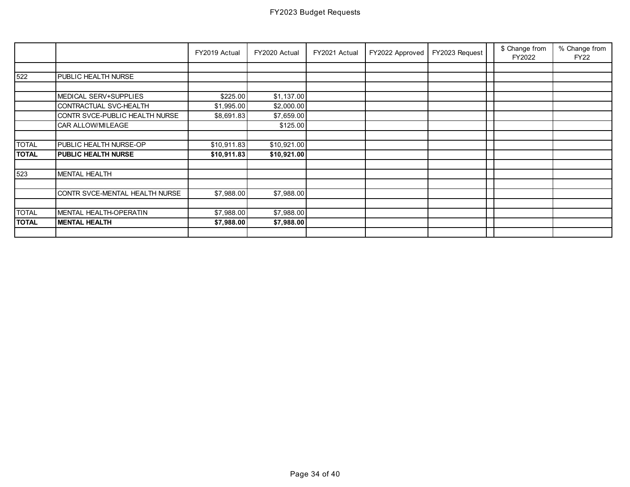|              |                                | FY2019 Actual | FY2020 Actual | FY2021 Actual | FY2022 Approved | FY2023 Request | \$ Change from<br>FY2022 | % Change from<br><b>FY22</b> |
|--------------|--------------------------------|---------------|---------------|---------------|-----------------|----------------|--------------------------|------------------------------|
|              |                                |               |               |               |                 |                |                          |                              |
| 522          | PUBLIC HEALTH NURSE            |               |               |               |                 |                |                          |                              |
|              |                                |               |               |               |                 |                |                          |                              |
|              | MEDICAL SERV+SUPPLIES          | \$225.00      | \$1,137.00    |               |                 |                |                          |                              |
|              | CONTRACTUAL SVC-HEALTH         | \$1,995.00    | \$2,000.00    |               |                 |                |                          |                              |
|              | CONTR SVCE-PUBLIC HEALTH NURSE | \$8,691.83    | \$7,659.00    |               |                 |                |                          |                              |
|              | CAR ALLOW/MILEAGE              |               | \$125.00      |               |                 |                |                          |                              |
|              |                                |               |               |               |                 |                |                          |                              |
| <b>TOTAL</b> | PUBLIC HEALTH NURSE-OP         | \$10,911.83   | \$10,921.00   |               |                 |                |                          |                              |
| <b>TOTAL</b> | PUBLIC HEALTH NURSE            | \$10,911.83   | \$10,921.00   |               |                 |                |                          |                              |
|              |                                |               |               |               |                 |                |                          |                              |
| 523          | <b>MENTAL HEALTH</b>           |               |               |               |                 |                |                          |                              |
|              |                                |               |               |               |                 |                |                          |                              |
|              | CONTR SVCE-MENTAL HEALTH NURSE | \$7,988.00    | \$7,988.00    |               |                 |                |                          |                              |
|              |                                |               |               |               |                 |                |                          |                              |
| <b>TOTAL</b> | MENTAL HEALTH-OPERATIN         | \$7,988.00    | \$7,988.00    |               |                 |                |                          |                              |
| <b>TOTAL</b> | <b>MENTAL HEALTH</b>           | \$7,988.00    | \$7,988.00    |               |                 |                |                          |                              |
|              |                                |               |               |               |                 |                |                          |                              |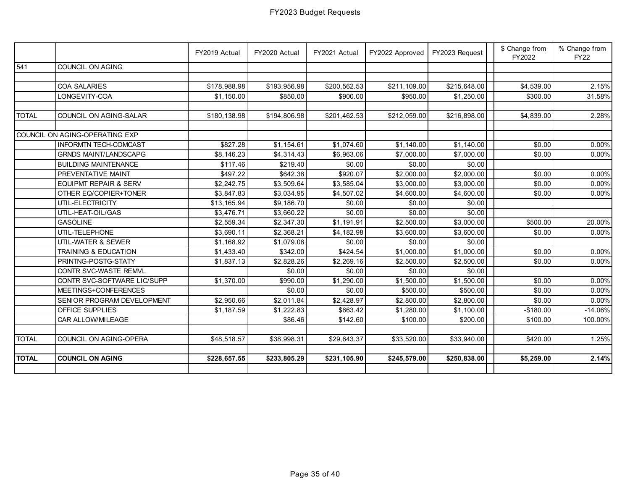|              |                                  | FY2019 Actual | FY2020 Actual | FY2021 Actual | FY2022 Approved | FY2023 Request | \$ Change from<br>FY2022 | % Change from<br><b>FY22</b> |
|--------------|----------------------------------|---------------|---------------|---------------|-----------------|----------------|--------------------------|------------------------------|
| 541          | COUNCIL ON AGING                 |               |               |               |                 |                |                          |                              |
|              |                                  |               |               |               |                 |                |                          |                              |
|              | COA SALARIES                     | \$178,988.98  | \$193,956.98  | \$200,562.53  | \$211,109.00    | \$215,648.00   | \$4,539.00               | 2.15%                        |
|              | LONGEVITY-COA                    | \$1,150.00    | \$850.00      | \$900.00      | \$950.00        | \$1,250.00     | \$300.00                 | 31.58%                       |
|              |                                  |               |               |               |                 |                |                          |                              |
| <b>TOTAL</b> | COUNCIL ON AGING-SALAR           | \$180,138.98  | \$194,806.98  | \$201,462.53  | \$212,059.00    | \$216,898.00   | \$4,839.00               | 2.28%                        |
|              |                                  |               |               |               |                 |                |                          |                              |
|              | COUNCIL ON AGING-OPERATING EXP   |               |               |               |                 |                |                          |                              |
|              | <b>INFORMTN TECH-COMCAST</b>     | \$827.28      | \$1,154.61    | \$1,074.60    | \$1,140.00      | \$1,140.00     | \$0.00                   | $0.00\%$                     |
|              | <b>GRNDS MAINT/LANDSCAPG</b>     | \$8,146.23    | \$4,314.43    | \$6,963.06    | \$7,000.00      | \$7,000.00     | \$0.00                   | $0.00\%$                     |
|              | <b>BUILDING MAINTENANCE</b>      | \$117.46      | \$219.40      | \$0.00        | \$0.00          | \$0.00         |                          |                              |
|              | PREVENTATIVE MAINT               | \$497.22      | \$642.38      | \$920.07      | \$2,000.00      | \$2,000.00     | \$0.00                   | $0.00\%$                     |
|              | <b>EQUIPMT REPAIR &amp; SERV</b> | \$2,242.75    | \$3,509.64    | \$3,585.04    | \$3,000.00      | \$3,000.00     | \$0.00                   | $0.00\%$                     |
|              | OTHER EQ/COPIER+TONER            | \$3,847.83    | \$3,034.95    | \$4,507.02    | \$4,600.00      | \$4,600.00     | \$0.00                   | $0.00\%$                     |
|              | UTIL-ELECTRICITY                 | \$13,165.94   | \$9,186.70    | \$0.00        | \$0.00          | \$0.00         |                          |                              |
|              | UTIL-HEAT-OIL/GAS                | \$3,476.71    | \$3,660.22    | \$0.00        | \$0.00          | \$0.00         |                          |                              |
|              | <b>GASOLINE</b>                  | \$2,559.34    | \$2,347.30    | \$1,191.91    | \$2,500.00      | \$3,000.00     | \$500.00                 | 20.00%                       |
|              | UTIL-TELEPHONE                   | \$3,690.11    | \$2,368.21    | \$4,182.98    | \$3,600.00      | \$3,600.00     | \$0.00                   | 0.00%                        |
|              | UTIL-WATER & SEWER               | \$1,168.92    | \$1,079.08    | \$0.00        | \$0.00          | \$0.00         |                          |                              |
|              | TRAINING & EDUCATION             | \$1,433.40    | \$342.00      | \$424.54      | \$1,000.00      | \$1,000.00     | \$0.00                   | $0.00\%$                     |
|              | PRINTNG-POSTG-STATY              | \$1,837.13    | \$2,828.26    | \$2,269.16    | \$2,500.00      | \$2,500.00     | \$0.00                   | $0.00\%$                     |
|              | CONTR SVC-WASTE REMVL            |               | \$0.00        | \$0.00        | \$0.00          | \$0.00         |                          |                              |
|              | CONTR SVC-SOFTWARE LIC/SUPP      | \$1,370.00    | \$990.00      | \$1,290.00    | \$1,500.00      | \$1,500.00     | \$0.00                   | $0.00\%$                     |
|              | MEETINGS+CONFERENCES             |               | \$0.00        | \$0.00        | \$500.00        | \$500.00       | \$0.00                   | $0.00\%$                     |
|              | SENIOR PROGRAM DEVELOPMENT       | \$2,950.66    | \$2,011.84    | \$2,428.97    | \$2,800.00      | \$2,800.00     | \$0.00                   | 0.00%                        |
|              | OFFICE SUPPLIES                  | \$1,187.59    | \$1,222.83    | \$663.42      | \$1,280.00      | \$1,100.00     | $-$180.00$               | $-14.06\%$                   |
|              | CAR ALLOW/MILEAGE                |               | \$86.46       | \$142.60      | \$100.00        | \$200.00       | \$100.00                 | 100.00%                      |
|              |                                  |               |               |               |                 |                |                          |                              |
| <b>TOTAL</b> | COUNCIL ON AGING-OPERA           | \$48,518.57   | \$38,998.31   | \$29,643.37   | \$33,520.00     | \$33,940.00    | \$420.00                 | 1.25%                        |
|              |                                  |               |               |               |                 |                |                          |                              |
| <b>TOTAL</b> | <b>COUNCIL ON AGING</b>          | \$228,657.55  | \$233,805.29  | \$231,105.90  | \$245,579.00    | \$250,838.00   | \$5,259.00               | 2.14%                        |
|              |                                  |               |               |               |                 |                |                          |                              |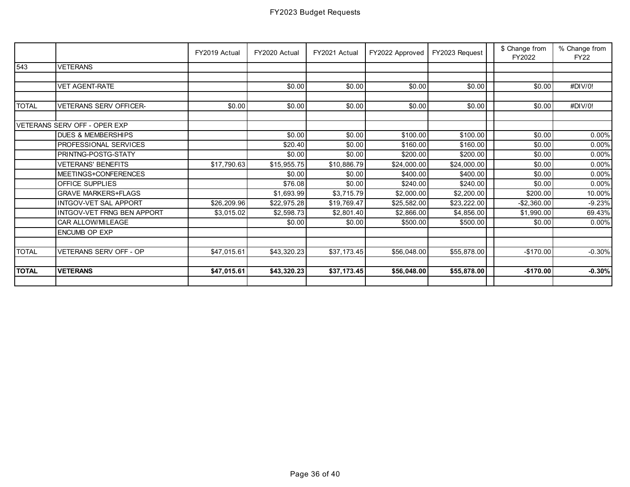|              |                               | FY2019 Actual | FY2020 Actual | FY2021 Actual | FY2022 Approved | FY2023 Request | \$ Change from<br>FY2022 | % Change from<br><b>FY22</b> |
|--------------|-------------------------------|---------------|---------------|---------------|-----------------|----------------|--------------------------|------------------------------|
| 543          | <b>VETERANS</b>               |               |               |               |                 |                |                          |                              |
|              |                               |               |               |               |                 |                |                          |                              |
|              | <b>VET AGENT-RATE</b>         |               | \$0.00        | \$0.00        | \$0.00          | \$0.00         | \$0.00                   | #DIV/0!                      |
|              |                               |               |               |               |                 |                |                          |                              |
| <b>TOTAL</b> | VETERANS SERV OFFICER-        | \$0.00        | \$0.00        | \$0.00        | \$0.00          | \$0.00         | \$0.00                   | #DIV/0!                      |
|              |                               |               |               |               |                 |                |                          |                              |
|              | VETERANS SERV OFF - OPER EXP  |               |               |               |                 |                |                          |                              |
|              | <b>DUES &amp; MEMBERSHIPS</b> |               | \$0.00        | \$0.00        | \$100.00        | \$100.00       | \$0.00                   | 0.00%                        |
|              | PROFESSIONAL SERVICES         |               | \$20.40       | \$0.00        | \$160.00        | \$160.00       | \$0.00                   | $0.00\%$                     |
|              | PRINTNG-POSTG-STATY           |               | \$0.00        | \$0.00        | \$200.00        | \$200.00       | \$0.00                   | $0.00\%$                     |
|              | <b>VETERANS' BENEFITS</b>     | \$17,790.63   | \$15,955.75   | \$10,886.79   | \$24,000.00     | \$24,000.00    | \$0.00                   | 0.00%                        |
|              | MEETINGS+CONFERENCES          |               | \$0.00        | \$0.00        | \$400.00        | \$400.00       | \$0.00                   | $0.00\%$                     |
|              | OFFICE SUPPLIES               |               | \$76.08       | \$0.00        | \$240.00        | \$240.00       | \$0.00                   | $0.00\%$                     |
|              | <b>GRAVE MARKERS+FLAGS</b>    |               | \$1,693.99    | \$3,715.79    | \$2,000.00      | \$2,200.00     | \$200.00                 | 10.00%                       |
|              | <b>INTGOV-VET SAL APPORT</b>  | \$26,209.96   | \$22,975.28   | \$19,769.47   | \$25,582.00     | \$23,222.00    | $-$2,360.00$             | $-9.23%$                     |
|              | INTGOV-VET FRNG BEN APPORT    | \$3,015.02    | \$2,598.73    | \$2,801.40    | \$2,866.00      | \$4,856.00     | \$1,990.00               | 69.43%                       |
|              | CAR ALLOW/MILEAGE             |               | \$0.00        | \$0.00        | \$500.00        | \$500.00       | \$0.00                   | 0.00%                        |
|              | <b>ENCUMB OP EXP</b>          |               |               |               |                 |                |                          |                              |
|              |                               |               |               |               |                 |                |                          |                              |
| <b>TOTAL</b> | VETERANS SERV OFF - OP        | \$47,015.61   | \$43,320.23   | \$37,173.45   | \$56,048.00     | \$55,878.00    | $-$170.00$               | $-0.30%$                     |
|              |                               |               |               |               |                 |                |                          |                              |
| <b>TOTAL</b> | <b>VETERANS</b>               | \$47,015.61   | \$43,320.23   | \$37,173.45   | \$56,048.00     | \$55,878.00    | $-$170.00$               | $-0.30%$                     |
|              |                               |               |               |               |                 |                |                          |                              |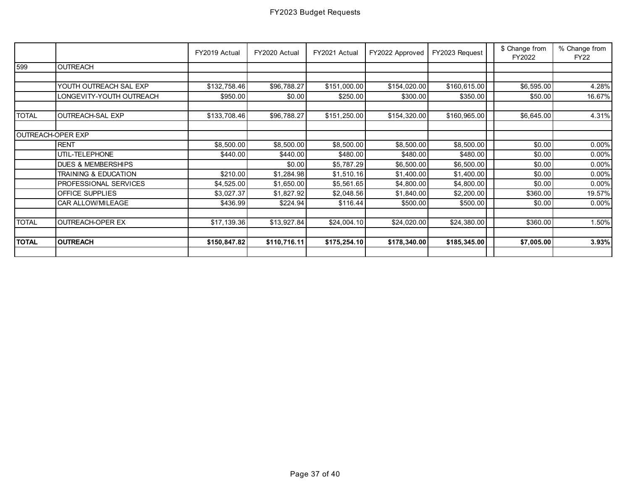|              |                                 | FY2019 Actual | FY2020 Actual | FY2021 Actual | FY2022 Approved | FY2023 Request | \$ Change from<br>FY2022 | % Change from<br><b>FY22</b> |
|--------------|---------------------------------|---------------|---------------|---------------|-----------------|----------------|--------------------------|------------------------------|
| 599          | <b>OUTREACH</b>                 |               |               |               |                 |                |                          |                              |
|              |                                 |               |               |               |                 |                |                          |                              |
|              | YOUTH OUTREACH SAL EXP          | \$132,758.46  | \$96,788.27   | \$151,000.00  | \$154,020.00    | \$160,615.00   | \$6,595.00               | 4.28%                        |
|              | LONGEVITY-YOUTH OUTREACH        | \$950.00      | \$0.00        | \$250.00      | \$300.00        | \$350.00       | \$50.00                  | 16.67%                       |
| <b>TOTAL</b> | OUTREACH-SAL EXP                | \$133,708.46  | \$96,788.27   | \$151,250.00  | \$154,320.00    | \$160,965.00   | \$6,645.00               | 4.31%                        |
|              | OUTREACH-OPER EXP               |               |               |               |                 |                |                          |                              |
|              | <b>RENT</b>                     | \$8,500.00    | \$8,500.00    | \$8,500.00    | \$8,500.00      | \$8,500.00     | \$0.00                   | $0.00\%$                     |
|              | UTIL-TELEPHONE                  | \$440.00      | \$440.00      | \$480.00      | \$480.00        | \$480.00       | \$0.00                   | $0.00\%$                     |
|              | <b>DUES &amp; MEMBERSHIPS</b>   |               | \$0.00        | \$5,787.29    | \$6,500.00      | \$6,500.00     | \$0.00                   | $0.00\%$                     |
|              | <b>TRAINING &amp; EDUCATION</b> | \$210.00      | \$1,284.98    | \$1,510.16    | \$1,400.00      | \$1,400.00     | \$0.00                   | $0.00\%$                     |
|              | PROFESSIONAL SERVICES           | \$4,525.00    | \$1,650.00    | \$5,561.65    | \$4,800.00      | \$4,800.00     | \$0.00                   | $0.00\%$                     |
|              | OFFICE SUPPLIES                 | \$3,027.37    | \$1,827.92    | \$2,048.56    | \$1,840.00      | \$2,200.00     | \$360.00                 | 19.57%                       |
|              | CAR ALLOW/MILEAGE               | \$436.99      | \$224.94      | \$116.44      | \$500.00        | \$500.00       | \$0.00                   | $0.00\%$                     |
| <b>TOTAL</b> | <b>OUTREACH-OPER EX</b>         | \$17,139.36   | \$13,927.84   | \$24,004.10   | \$24,020.00     | \$24,380.00    | \$360.00                 | 1.50%                        |
| <b>TOTAL</b> | <b>OUTREACH</b>                 | \$150,847.82  | \$110,716.11  | \$175,254.10  | \$178,340.00    | \$185,345.00   | \$7,005.00               | 3.93%                        |
|              |                                 |               |               |               |                 |                |                          |                              |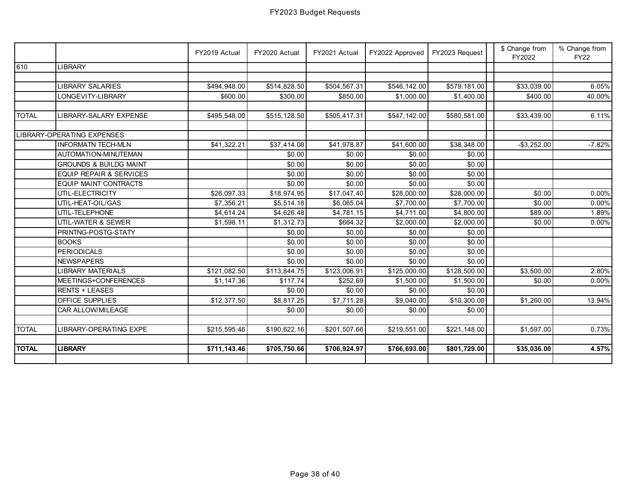|              |                                    | FY2019 Actual | FY2020 Actual | FY2021 Actual | FY2022 Approved | FY2023 Request | \$ Change from<br>FY2022 | % Change from<br><b>FY22</b> |
|--------------|------------------------------------|---------------|---------------|---------------|-----------------|----------------|--------------------------|------------------------------|
| 610          | <b>LIBRARY</b>                     |               |               |               |                 |                |                          |                              |
|              |                                    |               |               |               |                 |                |                          |                              |
|              | <b>LIBRARY SALARIES</b>            | \$494,948.00  | \$514,828.50  | \$504,567.31  | \$546,142.00    | \$579,181.00   | \$33,039.00              | 6.05%                        |
|              | LONGEVITY-LIBRARY                  | \$600.00      | \$300.00      | \$850.00      | \$1,000.00      | \$1,400.00     | \$400.00                 | 40.00%                       |
|              |                                    |               |               |               |                 |                |                          |                              |
| <b>TOTAL</b> | LIBRARY-SALARY EXPENSE             | \$495,548.00  | \$515,128.50  | \$505,417.31  | \$547,142.00    | \$580,581.00   | \$33,439.00              | 6.11%                        |
|              | LIBRARY-OPERATING EXPENSES         |               |               |               |                 |                |                          |                              |
|              | <b>INFORMATN TECH-MLN</b>          | \$41,322.21   | \$37,414.08   | \$41,978.87   | \$41,600.00     | \$38,348.00    | $-$ \$3,252.00           | $-7.82%$                     |
|              | AUTOMATION-MINUTEMAN               |               | \$0.00        | \$0.00        | \$0.00          | \$0.00         |                          |                              |
|              | <b>GROUNDS &amp; BUILDG MAINT</b>  |               | \$0.00        | \$0.00        | \$0.00          | \$0.00         |                          |                              |
|              | <b>EQUIP REPAIR &amp; SERVICES</b> |               | \$0.00        | \$0.00        | \$0.00          | \$0.00         |                          |                              |
|              | <b>EQUIP MAINT CONTRACTS</b>       |               | \$0.00        | \$0.00        | \$0.00          | \$0.00         |                          |                              |
|              | UTIL-ELECTRICITY                   | \$26,097.33   | \$18,974.95   | \$17,047.40   | \$28,000.00     | \$28,000.00    | \$0.00                   | 0.00%                        |
|              | UTIL-HEAT-OIL/GAS                  | \$7,356.21    | \$5,514.18    | \$6,065.04    | \$7,700.00      | \$7,700.00     | \$0.00                   | 0.00%                        |
|              | UTIL-TELEPHONE                     | \$4,614.24    | \$4,626.48    | \$4,781.15    | \$4,711.00      | \$4,800.00     | \$89.00                  | 1.89%                        |
|              | UTIL-WATER & SEWER                 | \$1,598.11    | \$1,312.73    | \$664.32      | \$2,000.00      | \$2,000.00     | \$0.00                   | $0.00\%$                     |
|              | PRINTNG-POSTG-STATY                |               | \$0.00        | \$0.00        | \$0.00          | \$0.00         |                          |                              |
|              | <b>BOOKS</b>                       |               | \$0.00        | \$0.00        | \$0.00          | \$0.00         |                          |                              |
|              | <b>PERIODICALS</b>                 |               | \$0.00        | \$0.00        | \$0.00          | \$0.00         |                          |                              |
|              | <b>NEWSPAPERS</b>                  |               | \$0.00        | \$0.00        | \$0.00          | \$0.00         |                          |                              |
|              | <b>LIBRARY MATERIALS</b>           | \$121,082.50  | \$113,844.75  | \$123,006.91  | \$125,000.00    | \$128,500.00   | \$3,500.00               | 2.80%                        |
|              | MEETINGS+CONFERENCES               | \$1,147.36    | \$117.74      | \$252.69      | \$1,500.00      | \$1,500.00     | \$0.00                   | 0.00%                        |
|              | <b>RENTS + LEASES</b>              |               | \$0.00        | \$0.00        | \$0.00          | \$0.00         |                          |                              |
|              | OFFICE SUPPLIES                    | \$12,377.50   | \$8,817.25    | \$7,711.28    | \$9,040.00      | \$10,300.00    | \$1,260.00               | 13.94%                       |
|              | CAR ALLOW/MILEAGE                  |               | \$0.00        | \$0.00        | \$0.00          | \$0.00         |                          |                              |
|              |                                    |               |               |               |                 |                |                          |                              |
| <b>TOTAL</b> | <b>LIBRARY-OPERATING EXPE</b>      | \$215,595.46  | \$190,622.16  | \$201,507.66  | \$219,551.00    | \$221,148.00   | \$1,597.00               | 0.73%                        |
|              |                                    |               |               |               |                 |                |                          |                              |
| <b>TOTAL</b> | <b>LIBRARY</b>                     | \$711,143.46  | \$705,750.66  | \$706,924.97  | \$766,693.00    | \$801,729.00   | \$35,036.00              | 4.57%                        |
|              |                                    |               |               |               |                 |                |                          |                              |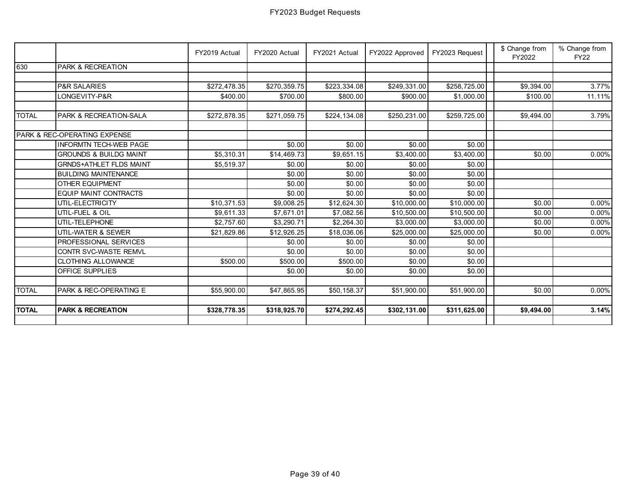|              |                                   | FY2019 Actual | FY2020 Actual | FY2021 Actual | FY2022 Approved | FY2023 Request | \$ Change from<br>FY2022 | % Change from<br><b>FY22</b> |
|--------------|-----------------------------------|---------------|---------------|---------------|-----------------|----------------|--------------------------|------------------------------|
| 630          | <b>PARK &amp; RECREATION</b>      |               |               |               |                 |                |                          |                              |
|              |                                   |               |               |               |                 |                |                          |                              |
|              | <b>P&amp;R SALARIES</b>           | \$272,478.35  | \$270,359.75  | \$223,334.08  | \$249,331.00    | \$258,725.00   | \$9,394.00               | 3.77%                        |
|              | LONGEVITY-P&R                     | \$400.00      | \$700.00      | \$800.00      | \$900.00        | \$1,000.00     | \$100.00                 | 11.11%                       |
|              |                                   |               |               |               |                 |                |                          |                              |
| <b>TOTAL</b> | <b>PARK &amp; RECREATION-SALA</b> | \$272,878.35  | \$271,059.75  | \$224,134.08  | \$250,231.00    | \$259,725.00   | \$9,494.00               | 3.79%                        |
|              |                                   |               |               |               |                 |                |                          |                              |
|              | PARK & REC-OPERATING EXPENSE      |               |               |               |                 |                |                          |                              |
|              | <b>INFORMTN TECH-WEB PAGE</b>     |               | \$0.00        | \$0.00        | \$0.00          | \$0.00         |                          |                              |
|              | <b>GROUNDS &amp; BUILDG MAINT</b> | \$5,310.31    | \$14,469.73   | \$9,651.15    | \$3,400.00      | \$3,400.00     | \$0.00                   | $0.00\%$                     |
|              | <b>GRNDS+ATHLET FLDS MAINT</b>    | \$5,519.37    | \$0.00        | \$0.00        | \$0.00          | \$0.00         |                          |                              |
|              | <b>BUILDING MAINTENANCE</b>       |               | \$0.00        | \$0.00        | \$0.00          | \$0.00         |                          |                              |
|              | <b>OTHER EQUIPMENT</b>            |               | \$0.00        | \$0.00        | \$0.00          | \$0.00         |                          |                              |
|              | <b>EQUIP MAINT CONTRACTS</b>      |               | \$0.00        | \$0.00        | \$0.00          | \$0.00         |                          |                              |
|              | UTIL-ELECTRICITY                  | \$10,371.53   | \$9,008.25    | \$12,624.30   | \$10,000.00     | \$10,000.00    | \$0.00                   | $0.00\%$                     |
|              | UTIL-FUEL & OIL                   | \$9,611.33    | \$7,671.01    | \$7,082.56    | \$10,500.00     | \$10,500.00    | \$0.00                   | $0.00\%$                     |
|              | UTIL-TELEPHONE                    | \$2,757.60    | \$3,290.71    | \$2,264.30    | \$3,000.00      | \$3,000.00     | \$0.00                   | $0.00\%$                     |
|              | UTIL-WATER & SEWER                | \$21,829.86   | \$12,926.25   | \$18,036.06   | \$25,000.00     | \$25,000.00    | \$0.00                   | $0.00\%$                     |
|              | PROFESSIONAL SERVICES             |               | \$0.00        | \$0.00        | \$0.00          | \$0.00         |                          |                              |
|              | CONTR SVC-WASTE REMVL             |               | \$0.00        | \$0.00        | \$0.00          | \$0.00         |                          |                              |
|              | <b>CLOTHING ALLOWANCE</b>         | \$500.00      | \$500.00      | \$500.00      | \$0.00          | \$0.00         |                          |                              |
|              | <b>OFFICE SUPPLIES</b>            |               | \$0.00        | \$0.00        | \$0.00          | \$0.00         |                          |                              |
|              |                                   |               |               |               |                 |                |                          |                              |
| <b>TOTAL</b> | PARK & REC-OPERATING E            | \$55,900.00   | \$47,865.95   | \$50,158.37   | \$51,900.00     | \$51,900.00    | \$0.00                   | $0.00\%$                     |
|              |                                   |               |               |               |                 |                |                          |                              |
| <b>TOTAL</b> | <b>PARK &amp; RECREATION</b>      | \$328,778.35  | \$318,925.70  | \$274,292.45  | \$302,131.00    | \$311,625.00   | \$9,494.00               | 3.14%                        |
|              |                                   |               |               |               |                 |                |                          |                              |